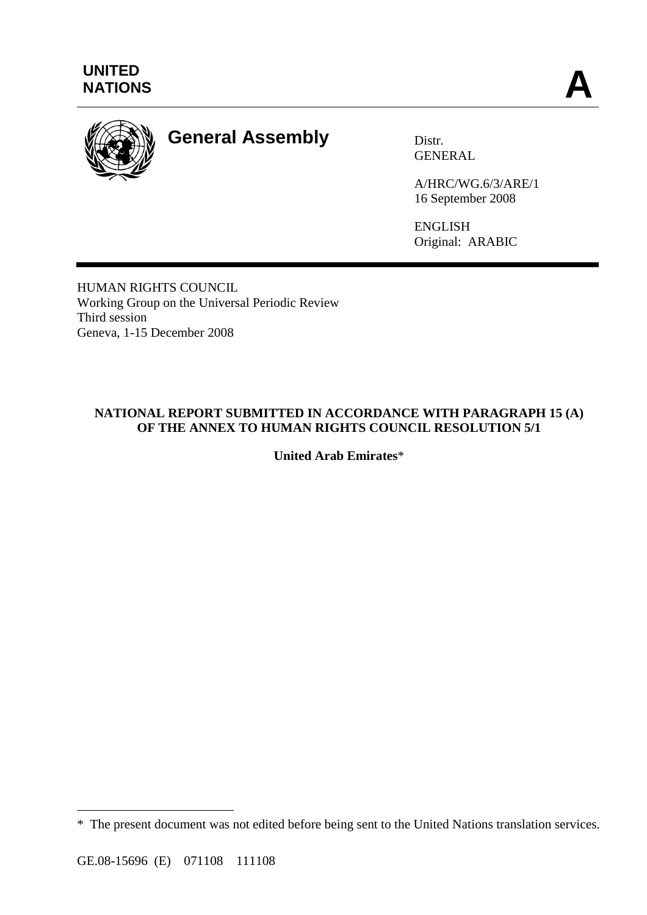

# **General Assembly** Distr.

GENERAL

A/HRC/WG.6/3/ARE/1 16 September 2008

ENGLISH Original: ARABIC

HUMAN RIGHTS COUNCIL Working Group on the Universal Periodic Review Third session Geneva, 1-15 December 2008

# **NATIONAL REPORT SUBMITTED IN ACCORDANCE WITH PARAGRAPH 15 (A) OF THE ANNEX TO HUMAN RIGHTS COUNCIL RESOLUTION 5/1**

**United Arab Emirates**\*

 $\overline{a}$ 

<sup>\*</sup> The present document was not edited before being sent to the United Nations translation services.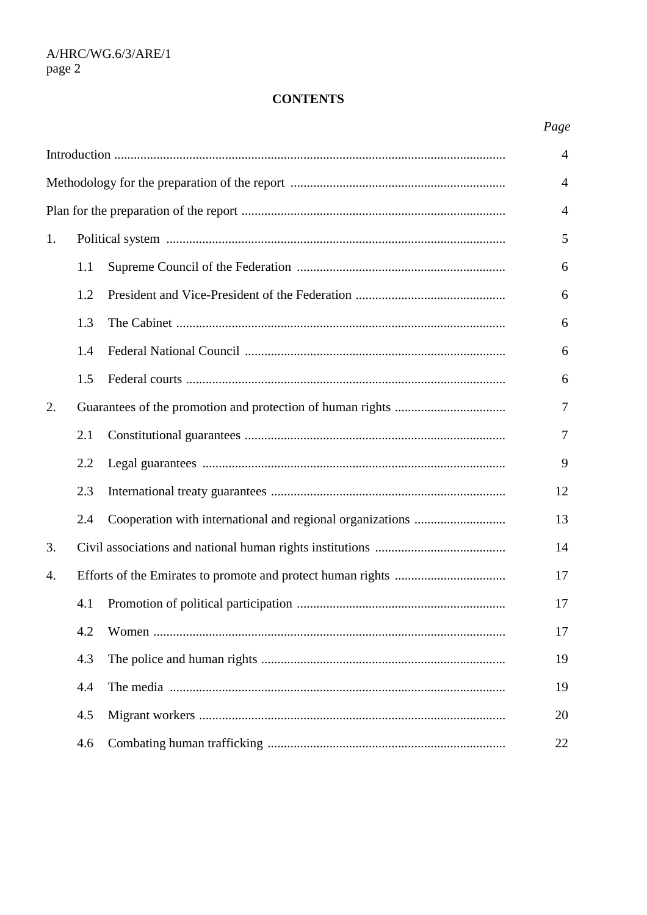# **CONTENTS**

| 1. |     |  | 5      |  |
|----|-----|--|--------|--|
|    | 1.1 |  | 6      |  |
|    | 1.2 |  | 6      |  |
|    | 1.3 |  | 6      |  |
|    | 1.4 |  | 6      |  |
|    | 1.5 |  | 6      |  |
| 2. |     |  |        |  |
|    | 2.1 |  | $\tau$ |  |
|    | 2.2 |  | 9      |  |
|    | 2.3 |  | 12     |  |
|    | 2.4 |  | 13     |  |
| 3. |     |  | 14     |  |
| 4. |     |  | 17     |  |
|    | 4.1 |  | 17     |  |
|    | 4.2 |  | 17     |  |
|    | 4.3 |  | 19     |  |
|    | 4.4 |  | 19     |  |
|    | 4.5 |  | 20     |  |
|    | 4.6 |  | 22     |  |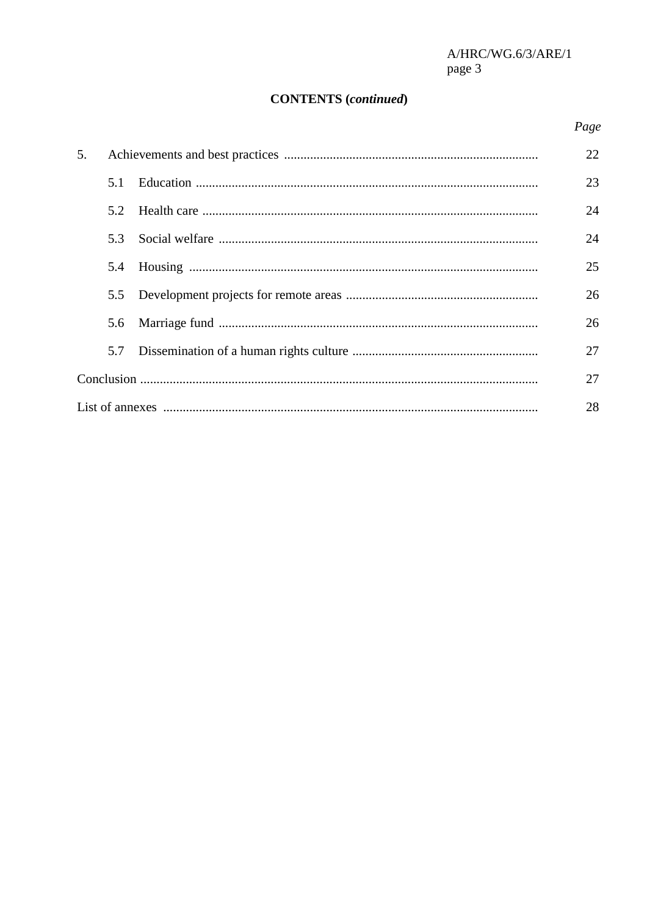# **CONTENTS** (continued)

# Page

| 5. |     |  | 22 |
|----|-----|--|----|
|    | 5.1 |  | 23 |
|    | 5.2 |  | 24 |
|    | 5.3 |  | 24 |
|    | 5.4 |  | 25 |
|    | 5.5 |  | 26 |
|    | 5.6 |  | 26 |
|    | 5.7 |  | 27 |
|    |     |  | 27 |
|    |     |  |    |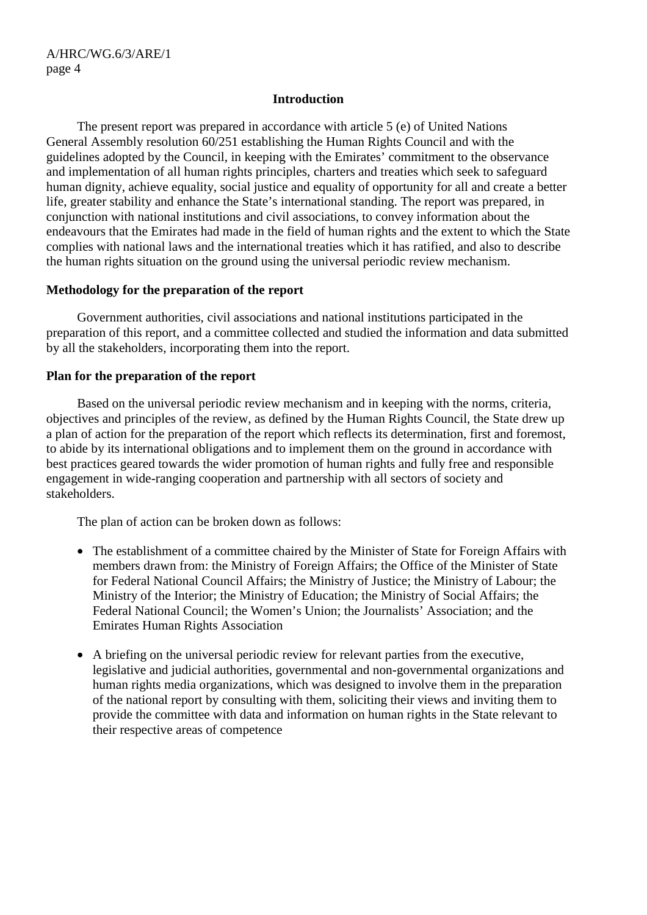### **Introduction**

 The present report was prepared in accordance with article 5 (e) of United Nations General Assembly resolution 60/251 establishing the Human Rights Council and with the guidelines adopted by the Council, in keeping with the Emirates' commitment to the observance and implementation of all human rights principles, charters and treaties which seek to safeguard human dignity, achieve equality, social justice and equality of opportunity for all and create a better life, greater stability and enhance the State's international standing. The report was prepared, in conjunction with national institutions and civil associations, to convey information about the endeavours that the Emirates had made in the field of human rights and the extent to which the State complies with national laws and the international treaties which it has ratified, and also to describe the human rights situation on the ground using the universal periodic review mechanism.

### **Methodology for the preparation of the report**

 Government authorities, civil associations and national institutions participated in the preparation of this report, and a committee collected and studied the information and data submitted by all the stakeholders, incorporating them into the report.

### **Plan for the preparation of the report**

 Based on the universal periodic review mechanism and in keeping with the norms, criteria, objectives and principles of the review, as defined by the Human Rights Council, the State drew up a plan of action for the preparation of the report which reflects its determination, first and foremost, to abide by its international obligations and to implement them on the ground in accordance with best practices geared towards the wider promotion of human rights and fully free and responsible engagement in wide-ranging cooperation and partnership with all sectors of society and stakeholders.

The plan of action can be broken down as follows:

- The establishment of a committee chaired by the Minister of State for Foreign Affairs with members drawn from: the Ministry of Foreign Affairs; the Office of the Minister of State for Federal National Council Affairs; the Ministry of Justice; the Ministry of Labour; the Ministry of the Interior; the Ministry of Education; the Ministry of Social Affairs; the Federal National Council; the Women's Union; the Journalists' Association; and the Emirates Human Rights Association
- A briefing on the universal periodic review for relevant parties from the executive, legislative and judicial authorities, governmental and non-governmental organizations and human rights media organizations, which was designed to involve them in the preparation of the national report by consulting with them, soliciting their views and inviting them to provide the committee with data and information on human rights in the State relevant to their respective areas of competence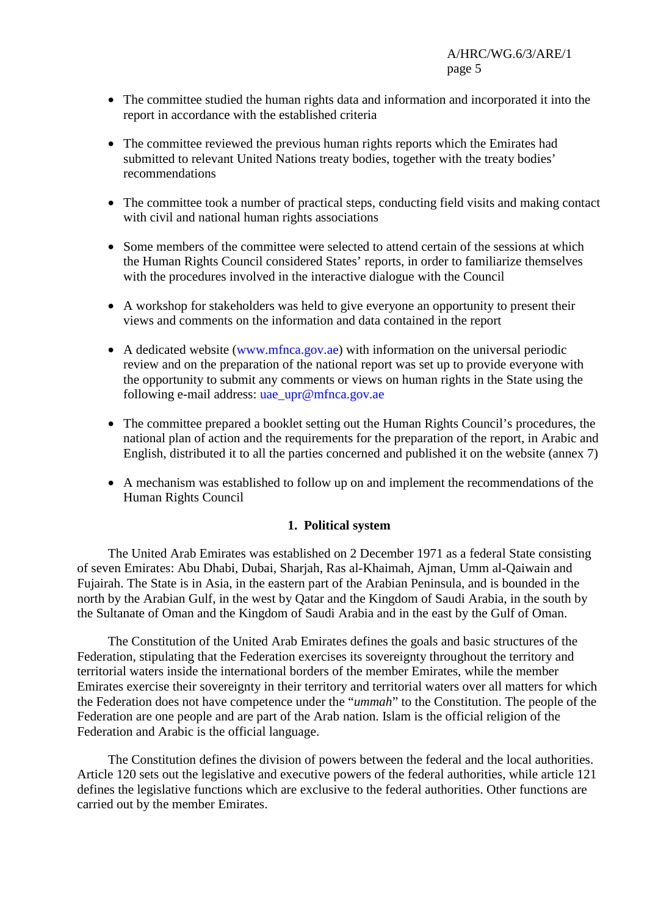- The committee studied the human rights data and information and incorporated it into the report in accordance with the established criteria
- The committee reviewed the previous human rights reports which the Emirates had submitted to relevant United Nations treaty bodies, together with the treaty bodies' recommendations
- The committee took a number of practical steps, conducting field visits and making contact with civil and national human rights associations
- Some members of the committee were selected to attend certain of the sessions at which the Human Rights Council considered States' reports, in order to familiarize themselves with the procedures involved in the interactive dialogue with the Council
- A workshop for stakeholders was held to give everyone an opportunity to present their views and comments on the information and data contained in the report
- A dedicated website (www.mfnca.gov.ae) with information on the universal periodic review and on the preparation of the national report was set up to provide everyone with the opportunity to submit any comments or views on human rights in the State using the following e-mail address: uae upr@mfnca.gov.ae
- The committee prepared a booklet setting out the Human Rights Council's procedures, the national plan of action and the requirements for the preparation of the report, in Arabic and English, distributed it to all the parties concerned and published it on the website (annex 7)
- A mechanism was established to follow up on and implement the recommendations of the Human Rights Council

### **1. Political system**

 The United Arab Emirates was established on 2 December 1971 as a federal State consisting of seven Emirates: Abu Dhabi, Dubai, Sharjah, Ras al-Khaimah, Ajman, Umm al-Qaiwain and Fujairah. The State is in Asia, in the eastern part of the Arabian Peninsula, and is bounded in the north by the Arabian Gulf, in the west by Qatar and the Kingdom of Saudi Arabia, in the south by the Sultanate of Oman and the Kingdom of Saudi Arabia and in the east by the Gulf of Oman.

 The Constitution of the United Arab Emirates defines the goals and basic structures of the Federation, stipulating that the Federation exercises its sovereignty throughout the territory and territorial waters inside the international borders of the member Emirates, while the member Emirates exercise their sovereignty in their territory and territorial waters over all matters for which the Federation does not have competence under the "*ummah*" to the Constitution. The people of the Federation are one people and are part of the Arab nation. Islam is the official religion of the Federation and Arabic is the official language.

 The Constitution defines the division of powers between the federal and the local authorities. Article 120 sets out the legislative and executive powers of the federal authorities, while article 121 defines the legislative functions which are exclusive to the federal authorities. Other functions are carried out by the member Emirates.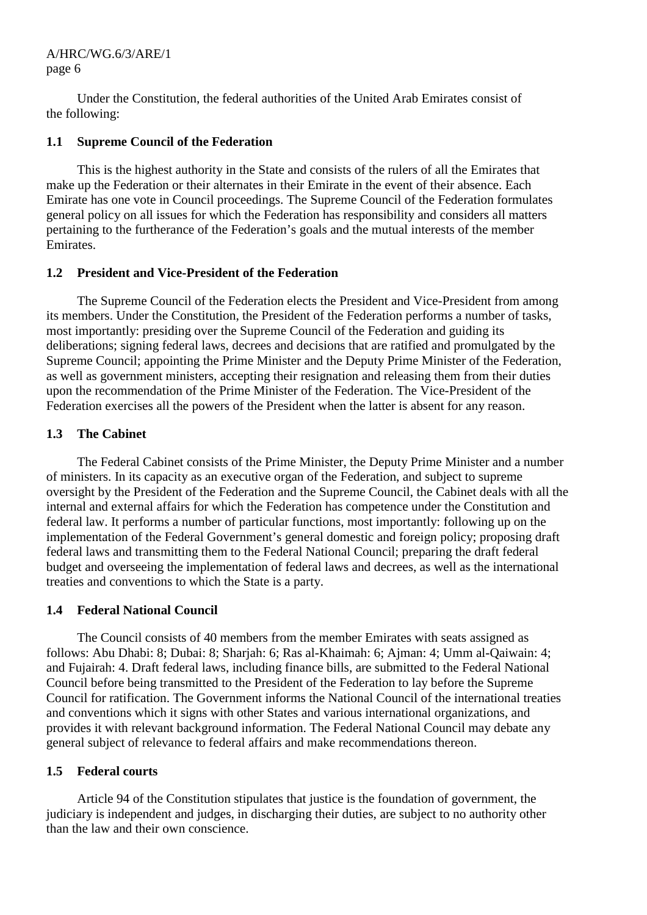Under the Constitution, the federal authorities of the United Arab Emirates consist of the following:

### **1.1 Supreme Council of the Federation**

 This is the highest authority in the State and consists of the rulers of all the Emirates that make up the Federation or their alternates in their Emirate in the event of their absence. Each Emirate has one vote in Council proceedings. The Supreme Council of the Federation formulates general policy on all issues for which the Federation has responsibility and considers all matters pertaining to the furtherance of the Federation's goals and the mutual interests of the member Emirates.

# **1.2 President and Vice-President of the Federation**

 The Supreme Council of the Federation elects the President and Vice-President from among its members. Under the Constitution, the President of the Federation performs a number of tasks, most importantly: presiding over the Supreme Council of the Federation and guiding its deliberations; signing federal laws, decrees and decisions that are ratified and promulgated by the Supreme Council; appointing the Prime Minister and the Deputy Prime Minister of the Federation, as well as government ministers, accepting their resignation and releasing them from their duties upon the recommendation of the Prime Minister of the Federation. The Vice-President of the Federation exercises all the powers of the President when the latter is absent for any reason.

# **1.3 The Cabinet**

 The Federal Cabinet consists of the Prime Minister, the Deputy Prime Minister and a number of ministers. In its capacity as an executive organ of the Federation, and subject to supreme oversight by the President of the Federation and the Supreme Council, the Cabinet deals with all the internal and external affairs for which the Federation has competence under the Constitution and federal law. It performs a number of particular functions, most importantly: following up on the implementation of the Federal Government's general domestic and foreign policy; proposing draft federal laws and transmitting them to the Federal National Council; preparing the draft federal budget and overseeing the implementation of federal laws and decrees, as well as the international treaties and conventions to which the State is a party.

# **1.4 Federal National Council**

 The Council consists of 40 members from the member Emirates with seats assigned as follows: Abu Dhabi: 8; Dubai: 8; Sharjah: 6; Ras al-Khaimah: 6; Ajman: 4; Umm al-Qaiwain: 4; and Fujairah: 4. Draft federal laws, including finance bills, are submitted to the Federal National Council before being transmitted to the President of the Federation to lay before the Supreme Council for ratification. The Government informs the National Council of the international treaties and conventions which it signs with other States and various international organizations, and provides it with relevant background information. The Federal National Council may debate any general subject of relevance to federal affairs and make recommendations thereon.

# **1.5 Federal courts**

 Article 94 of the Constitution stipulates that justice is the foundation of government, the judiciary is independent and judges, in discharging their duties, are subject to no authority other than the law and their own conscience.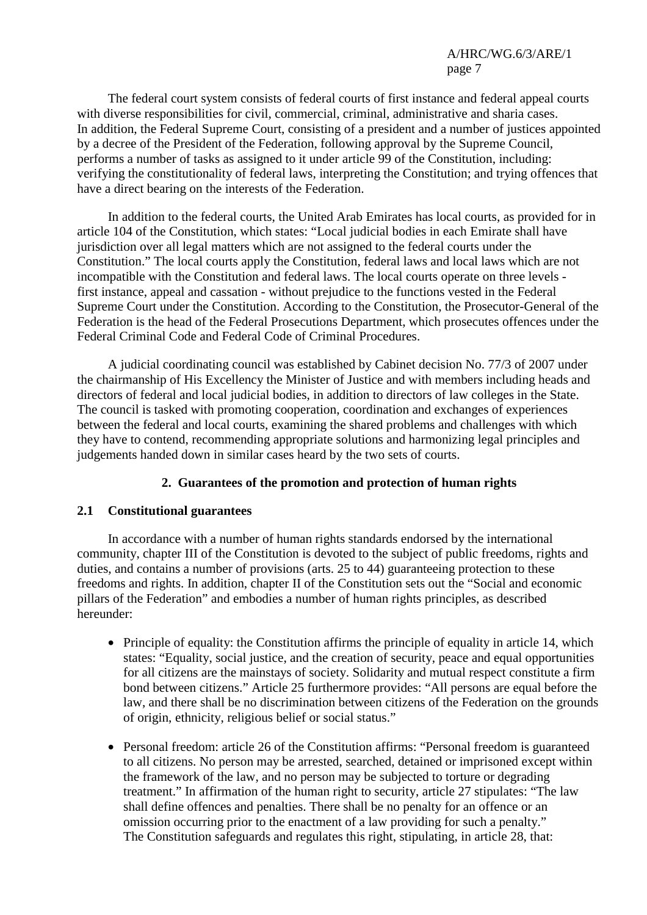The federal court system consists of federal courts of first instance and federal appeal courts with diverse responsibilities for civil, commercial, criminal, administrative and sharia cases. In addition, the Federal Supreme Court, consisting of a president and a number of justices appointed by a decree of the President of the Federation, following approval by the Supreme Council, performs a number of tasks as assigned to it under article 99 of the Constitution, including: verifying the constitutionality of federal laws, interpreting the Constitution; and trying offences that have a direct bearing on the interests of the Federation.

 In addition to the federal courts, the United Arab Emirates has local courts, as provided for in article 104 of the Constitution, which states: "Local judicial bodies in each Emirate shall have jurisdiction over all legal matters which are not assigned to the federal courts under the Constitution." The local courts apply the Constitution, federal laws and local laws which are not incompatible with the Constitution and federal laws. The local courts operate on three levels first instance, appeal and cassation - without prejudice to the functions vested in the Federal Supreme Court under the Constitution. According to the Constitution, the Prosecutor-General of the Federation is the head of the Federal Prosecutions Department, which prosecutes offences under the Federal Criminal Code and Federal Code of Criminal Procedures.

 A judicial coordinating council was established by Cabinet decision No. 77/3 of 2007 under the chairmanship of His Excellency the Minister of Justice and with members including heads and directors of federal and local judicial bodies, in addition to directors of law colleges in the State. The council is tasked with promoting cooperation, coordination and exchanges of experiences between the federal and local courts, examining the shared problems and challenges with which they have to contend, recommending appropriate solutions and harmonizing legal principles and judgements handed down in similar cases heard by the two sets of courts.

# **2. Guarantees of the promotion and protection of human rights**

### **2.1 Constitutional guarantees**

 In accordance with a number of human rights standards endorsed by the international community, chapter III of the Constitution is devoted to the subject of public freedoms, rights and duties, and contains a number of provisions (arts. 25 to 44) guaranteeing protection to these freedoms and rights. In addition, chapter II of the Constitution sets out the "Social and economic pillars of the Federation" and embodies a number of human rights principles, as described hereunder:

- Principle of equality: the Constitution affirms the principle of equality in article 14, which states: "Equality, social justice, and the creation of security, peace and equal opportunities for all citizens are the mainstays of society. Solidarity and mutual respect constitute a firm bond between citizens." Article 25 furthermore provides: "All persons are equal before the law, and there shall be no discrimination between citizens of the Federation on the grounds of origin, ethnicity, religious belief or social status."
- Personal freedom: article 26 of the Constitution affirms: "Personal freedom is guaranteed to all citizens. No person may be arrested, searched, detained or imprisoned except within the framework of the law, and no person may be subjected to torture or degrading treatment." In affirmation of the human right to security, article 27 stipulates: "The law shall define offences and penalties. There shall be no penalty for an offence or an omission occurring prior to the enactment of a law providing for such a penalty." The Constitution safeguards and regulates this right, stipulating, in article 28, that: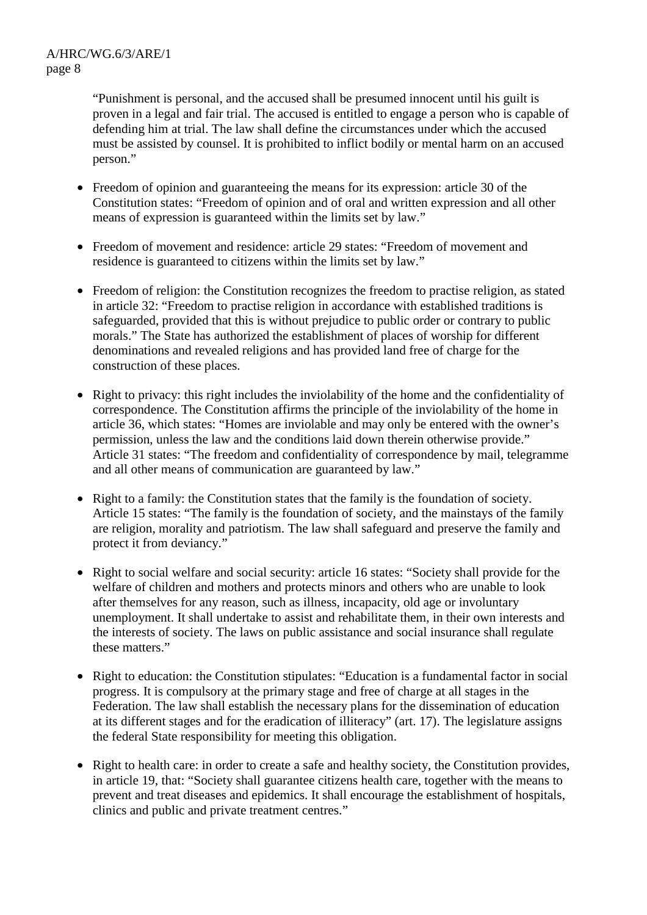"Punishment is personal, and the accused shall be presumed innocent until his guilt is proven in a legal and fair trial. The accused is entitled to engage a person who is capable of defending him at trial. The law shall define the circumstances under which the accused must be assisted by counsel. It is prohibited to inflict bodily or mental harm on an accused person."

- Freedom of opinion and guaranteeing the means for its expression: article 30 of the Constitution states: "Freedom of opinion and of oral and written expression and all other means of expression is guaranteed within the limits set by law."
- Freedom of movement and residence: article 29 states: "Freedom of movement and residence is guaranteed to citizens within the limits set by law."
- Freedom of religion: the Constitution recognizes the freedom to practise religion, as stated in article 32: "Freedom to practise religion in accordance with established traditions is safeguarded, provided that this is without prejudice to public order or contrary to public morals." The State has authorized the establishment of places of worship for different denominations and revealed religions and has provided land free of charge for the construction of these places.
- Right to privacy: this right includes the inviolability of the home and the confidentiality of correspondence. The Constitution affirms the principle of the inviolability of the home in article 36, which states: "Homes are inviolable and may only be entered with the owner's permission, unless the law and the conditions laid down therein otherwise provide." Article 31 states: "The freedom and confidentiality of correspondence by mail, telegramme and all other means of communication are guaranteed by law."
- Right to a family: the Constitution states that the family is the foundation of society. Article 15 states: "The family is the foundation of society, and the mainstays of the family are religion, morality and patriotism. The law shall safeguard and preserve the family and protect it from deviancy."
- Right to social welfare and social security: article 16 states: "Society shall provide for the welfare of children and mothers and protects minors and others who are unable to look after themselves for any reason, such as illness, incapacity, old age or involuntary unemployment. It shall undertake to assist and rehabilitate them, in their own interests and the interests of society. The laws on public assistance and social insurance shall regulate these matters."
- Right to education: the Constitution stipulates: "Education is a fundamental factor in social progress. It is compulsory at the primary stage and free of charge at all stages in the Federation. The law shall establish the necessary plans for the dissemination of education at its different stages and for the eradication of illiteracy" (art. 17). The legislature assigns the federal State responsibility for meeting this obligation.
- Right to health care: in order to create a safe and healthy society, the Constitution provides, in article 19, that: "Society shall guarantee citizens health care, together with the means to prevent and treat diseases and epidemics. It shall encourage the establishment of hospitals, clinics and public and private treatment centres."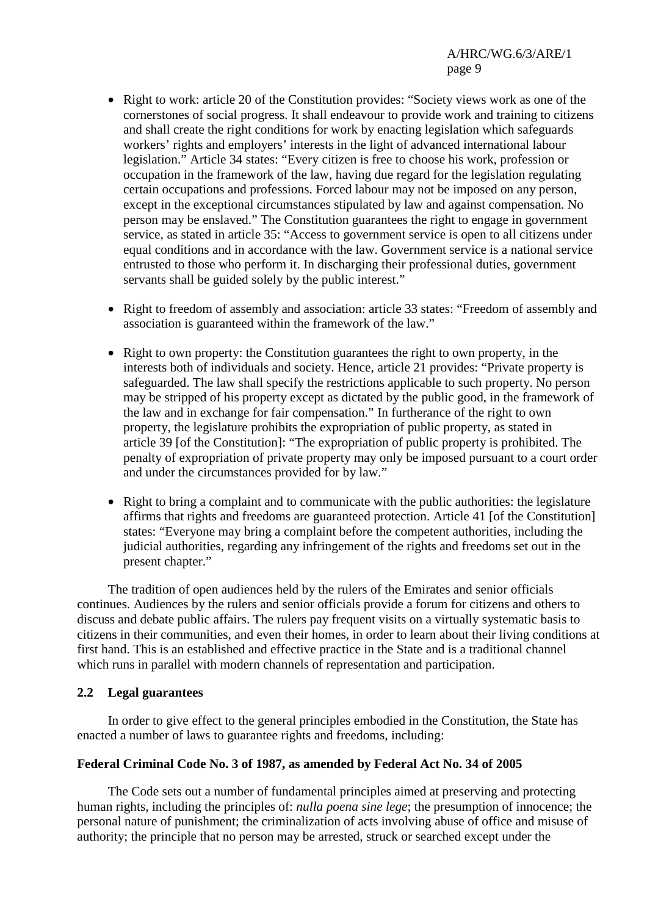- Right to work: article 20 of the Constitution provides: "Society views work as one of the cornerstones of social progress. It shall endeavour to provide work and training to citizens and shall create the right conditions for work by enacting legislation which safeguards workers' rights and employers' interests in the light of advanced international labour legislation." Article 34 states: "Every citizen is free to choose his work, profession or occupation in the framework of the law, having due regard for the legislation regulating certain occupations and professions. Forced labour may not be imposed on any person, except in the exceptional circumstances stipulated by law and against compensation. No person may be enslaved." The Constitution guarantees the right to engage in government service, as stated in article 35: "Access to government service is open to all citizens under equal conditions and in accordance with the law. Government service is a national service entrusted to those who perform it. In discharging their professional duties, government servants shall be guided solely by the public interest."
- Right to freedom of assembly and association: article 33 states: "Freedom of assembly and association is guaranteed within the framework of the law."
- Right to own property: the Constitution guarantees the right to own property, in the interests both of individuals and society. Hence, article 21 provides: "Private property is safeguarded. The law shall specify the restrictions applicable to such property. No person may be stripped of his property except as dictated by the public good, in the framework of the law and in exchange for fair compensation." In furtherance of the right to own property, the legislature prohibits the expropriation of public property, as stated in article 39 [of the Constitution]: "The expropriation of public property is prohibited. The penalty of expropriation of private property may only be imposed pursuant to a court order and under the circumstances provided for by law."
- Right to bring a complaint and to communicate with the public authorities: the legislature affirms that rights and freedoms are guaranteed protection. Article 41 [of the Constitution] states: "Everyone may bring a complaint before the competent authorities, including the judicial authorities, regarding any infringement of the rights and freedoms set out in the present chapter."

 The tradition of open audiences held by the rulers of the Emirates and senior officials continues. Audiences by the rulers and senior officials provide a forum for citizens and others to discuss and debate public affairs. The rulers pay frequent visits on a virtually systematic basis to citizens in their communities, and even their homes, in order to learn about their living conditions at first hand. This is an established and effective practice in the State and is a traditional channel which runs in parallel with modern channels of representation and participation.

### **2.2 Legal guarantees**

 In order to give effect to the general principles embodied in the Constitution, the State has enacted a number of laws to guarantee rights and freedoms, including:

### **Federal Criminal Code No. 3 of 1987, as amended by Federal Act No. 34 of 2005**

 The Code sets out a number of fundamental principles aimed at preserving and protecting human rights, including the principles of: *nulla poena sine lege*; the presumption of innocence; the personal nature of punishment; the criminalization of acts involving abuse of office and misuse of authority; the principle that no person may be arrested, struck or searched except under the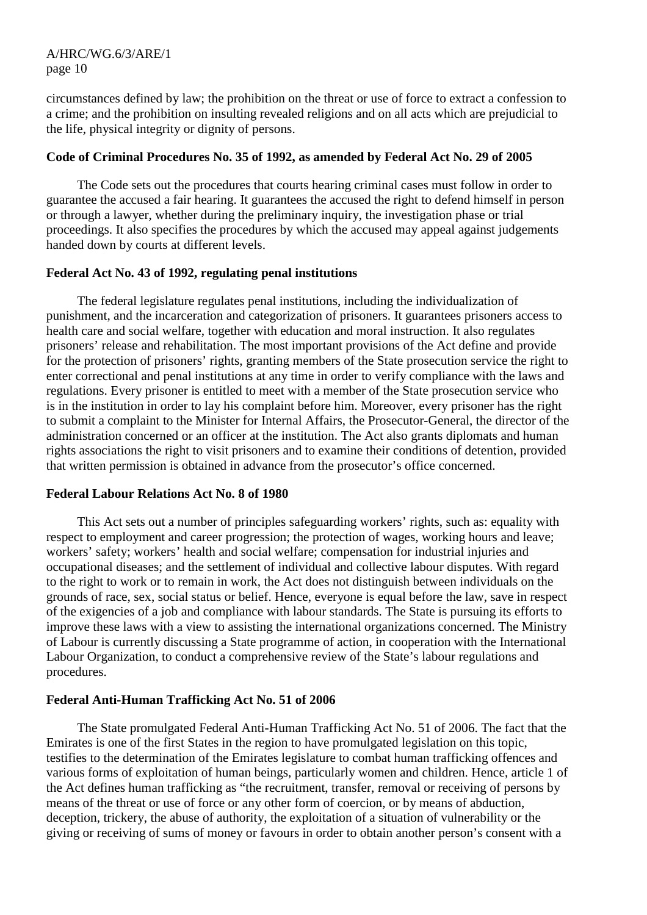circumstances defined by law; the prohibition on the threat or use of force to extract a confession to a crime; and the prohibition on insulting revealed religions and on all acts which are prejudicial to the life, physical integrity or dignity of persons.

### **Code of Criminal Procedures No. 35 of 1992, as amended by Federal Act No. 29 of 2005**

 The Code sets out the procedures that courts hearing criminal cases must follow in order to guarantee the accused a fair hearing. It guarantees the accused the right to defend himself in person or through a lawyer, whether during the preliminary inquiry, the investigation phase or trial proceedings. It also specifies the procedures by which the accused may appeal against judgements handed down by courts at different levels.

### **Federal Act No. 43 of 1992, regulating penal institutions**

 The federal legislature regulates penal institutions, including the individualization of punishment, and the incarceration and categorization of prisoners. It guarantees prisoners access to health care and social welfare, together with education and moral instruction. It also regulates prisoners' release and rehabilitation. The most important provisions of the Act define and provide for the protection of prisoners' rights, granting members of the State prosecution service the right to enter correctional and penal institutions at any time in order to verify compliance with the laws and regulations. Every prisoner is entitled to meet with a member of the State prosecution service who is in the institution in order to lay his complaint before him. Moreover, every prisoner has the right to submit a complaint to the Minister for Internal Affairs, the Prosecutor-General, the director of the administration concerned or an officer at the institution. The Act also grants diplomats and human rights associations the right to visit prisoners and to examine their conditions of detention, provided that written permission is obtained in advance from the prosecutor's office concerned.

### **Federal Labour Relations Act No. 8 of 1980**

 This Act sets out a number of principles safeguarding workers' rights, such as: equality with respect to employment and career progression; the protection of wages, working hours and leave; workers' safety; workers' health and social welfare; compensation for industrial injuries and occupational diseases; and the settlement of individual and collective labour disputes. With regard to the right to work or to remain in work, the Act does not distinguish between individuals on the grounds of race, sex, social status or belief. Hence, everyone is equal before the law, save in respect of the exigencies of a job and compliance with labour standards. The State is pursuing its efforts to improve these laws with a view to assisting the international organizations concerned. The Ministry of Labour is currently discussing a State programme of action, in cooperation with the International Labour Organization, to conduct a comprehensive review of the State's labour regulations and procedures.

# **Federal Anti-Human Trafficking Act No. 51 of 2006**

 The State promulgated Federal Anti-Human Trafficking Act No. 51 of 2006. The fact that the Emirates is one of the first States in the region to have promulgated legislation on this topic, testifies to the determination of the Emirates legislature to combat human trafficking offences and various forms of exploitation of human beings, particularly women and children. Hence, article 1 of the Act defines human trafficking as "the recruitment, transfer, removal or receiving of persons by means of the threat or use of force or any other form of coercion, or by means of abduction, deception, trickery, the abuse of authority, the exploitation of a situation of vulnerability or the giving or receiving of sums of money or favours in order to obtain another person's consent with a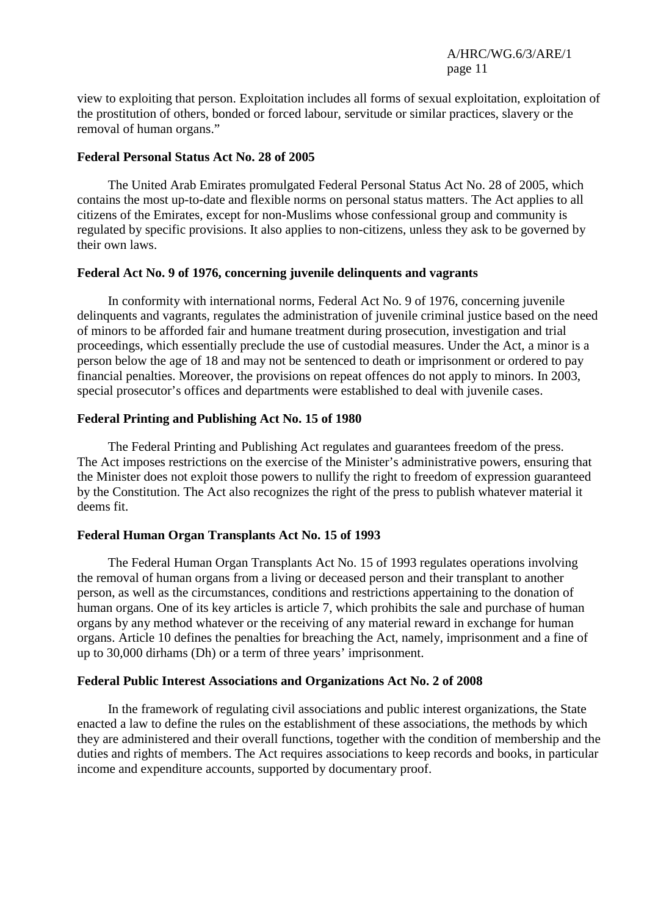view to exploiting that person. Exploitation includes all forms of sexual exploitation, exploitation of the prostitution of others, bonded or forced labour, servitude or similar practices, slavery or the removal of human organs."

#### **Federal Personal Status Act No. 28 of 2005**

 The United Arab Emirates promulgated Federal Personal Status Act No. 28 of 2005, which contains the most up-to-date and flexible norms on personal status matters. The Act applies to all citizens of the Emirates, except for non-Muslims whose confessional group and community is regulated by specific provisions. It also applies to non-citizens, unless they ask to be governed by their own laws.

### **Federal Act No. 9 of 1976, concerning juvenile delinquents and vagrants**

 In conformity with international norms, Federal Act No. 9 of 1976, concerning juvenile delinquents and vagrants, regulates the administration of juvenile criminal justice based on the need of minors to be afforded fair and humane treatment during prosecution, investigation and trial proceedings, which essentially preclude the use of custodial measures. Under the Act, a minor is a person below the age of 18 and may not be sentenced to death or imprisonment or ordered to pay financial penalties. Moreover, the provisions on repeat offences do not apply to minors. In 2003, special prosecutor's offices and departments were established to deal with juvenile cases.

### **Federal Printing and Publishing Act No. 15 of 1980**

 The Federal Printing and Publishing Act regulates and guarantees freedom of the press. The Act imposes restrictions on the exercise of the Minister's administrative powers, ensuring that the Minister does not exploit those powers to nullify the right to freedom of expression guaranteed by the Constitution. The Act also recognizes the right of the press to publish whatever material it deems fit.

### **Federal Human Organ Transplants Act No. 15 of 1993**

 The Federal Human Organ Transplants Act No. 15 of 1993 regulates operations involving the removal of human organs from a living or deceased person and their transplant to another person, as well as the circumstances, conditions and restrictions appertaining to the donation of human organs. One of its key articles is article 7, which prohibits the sale and purchase of human organs by any method whatever or the receiving of any material reward in exchange for human organs. Article 10 defines the penalties for breaching the Act, namely, imprisonment and a fine of up to 30,000 dirhams (Dh) or a term of three years' imprisonment.

### **Federal Public Interest Associations and Organizations Act No. 2 of 2008**

 In the framework of regulating civil associations and public interest organizations, the State enacted a law to define the rules on the establishment of these associations, the methods by which they are administered and their overall functions, together with the condition of membership and the duties and rights of members. The Act requires associations to keep records and books, in particular income and expenditure accounts, supported by documentary proof.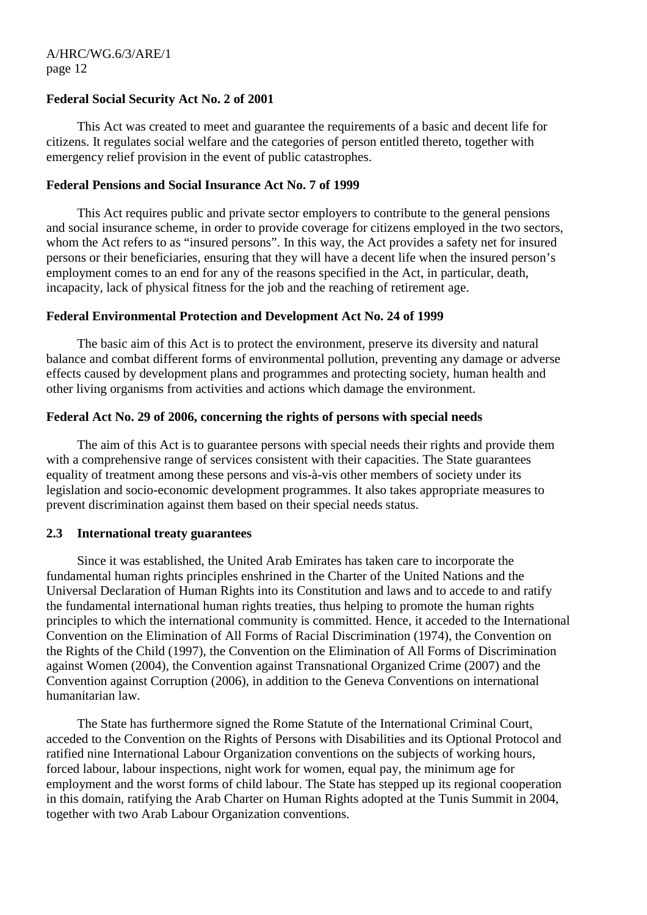### **Federal Social Security Act No. 2 of 2001**

 This Act was created to meet and guarantee the requirements of a basic and decent life for citizens. It regulates social welfare and the categories of person entitled thereto, together with emergency relief provision in the event of public catastrophes.

### **Federal Pensions and Social Insurance Act No. 7 of 1999**

 This Act requires public and private sector employers to contribute to the general pensions and social insurance scheme, in order to provide coverage for citizens employed in the two sectors, whom the Act refers to as "insured persons". In this way, the Act provides a safety net for insured persons or their beneficiaries, ensuring that they will have a decent life when the insured person's employment comes to an end for any of the reasons specified in the Act, in particular, death, incapacity, lack of physical fitness for the job and the reaching of retirement age.

### **Federal Environmental Protection and Development Act No. 24 of 1999**

 The basic aim of this Act is to protect the environment, preserve its diversity and natural balance and combat different forms of environmental pollution, preventing any damage or adverse effects caused by development plans and programmes and protecting society, human health and other living organisms from activities and actions which damage the environment.

# **Federal Act No. 29 of 2006, concerning the rights of persons with special needs**

 The aim of this Act is to guarantee persons with special needs their rights and provide them with a comprehensive range of services consistent with their capacities. The State guarantees equality of treatment among these persons and vis-à-vis other members of society under its legislation and socio-economic development programmes. It also takes appropriate measures to prevent discrimination against them based on their special needs status.

### **2.3 International treaty guarantees**

 Since it was established, the United Arab Emirates has taken care to incorporate the fundamental human rights principles enshrined in the Charter of the United Nations and the Universal Declaration of Human Rights into its Constitution and laws and to accede to and ratify the fundamental international human rights treaties, thus helping to promote the human rights principles to which the international community is committed. Hence, it acceded to the International Convention on the Elimination of All Forms of Racial Discrimination (1974), the Convention on the Rights of the Child (1997), the Convention on the Elimination of All Forms of Discrimination against Women (2004), the Convention against Transnational Organized Crime (2007) and the Convention against Corruption (2006), in addition to the Geneva Conventions on international humanitarian law.

 The State has furthermore signed the Rome Statute of the International Criminal Court, acceded to the Convention on the Rights of Persons with Disabilities and its Optional Protocol and ratified nine International Labour Organization conventions on the subjects of working hours, forced labour, labour inspections, night work for women, equal pay, the minimum age for employment and the worst forms of child labour. The State has stepped up its regional cooperation in this domain, ratifying the Arab Charter on Human Rights adopted at the Tunis Summit in 2004, together with two Arab Labour Organization conventions.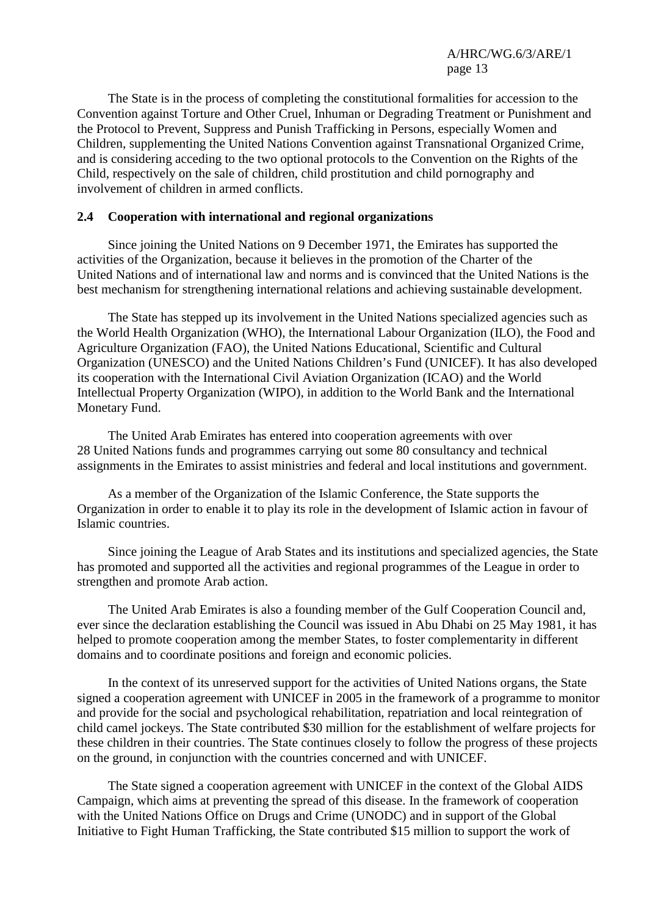The State is in the process of completing the constitutional formalities for accession to the Convention against Torture and Other Cruel, Inhuman or Degrading Treatment or Punishment and the Protocol to Prevent, Suppress and Punish Trafficking in Persons, especially Women and Children, supplementing the United Nations Convention against Transnational Organized Crime, and is considering acceding to the two optional protocols to the Convention on the Rights of the Child, respectively on the sale of children, child prostitution and child pornography and involvement of children in armed conflicts.

### **2.4 Cooperation with international and regional organizations**

 Since joining the United Nations on 9 December 1971, the Emirates has supported the activities of the Organization, because it believes in the promotion of the Charter of the United Nations and of international law and norms and is convinced that the United Nations is the best mechanism for strengthening international relations and achieving sustainable development.

 The State has stepped up its involvement in the United Nations specialized agencies such as the World Health Organization (WHO), the International Labour Organization (ILO), the Food and Agriculture Organization (FAO), the United Nations Educational, Scientific and Cultural Organization (UNESCO) and the United Nations Children's Fund (UNICEF). It has also developed its cooperation with the International Civil Aviation Organization (ICAO) and the World Intellectual Property Organization (WIPO), in addition to the World Bank and the International Monetary Fund.

 The United Arab Emirates has entered into cooperation agreements with over 28 United Nations funds and programmes carrying out some 80 consultancy and technical assignments in the Emirates to assist ministries and federal and local institutions and government.

 As a member of the Organization of the Islamic Conference, the State supports the Organization in order to enable it to play its role in the development of Islamic action in favour of Islamic countries.

 Since joining the League of Arab States and its institutions and specialized agencies, the State has promoted and supported all the activities and regional programmes of the League in order to strengthen and promote Arab action.

 The United Arab Emirates is also a founding member of the Gulf Cooperation Council and, ever since the declaration establishing the Council was issued in Abu Dhabi on 25 May 1981, it has helped to promote cooperation among the member States, to foster complementarity in different domains and to coordinate positions and foreign and economic policies.

 In the context of its unreserved support for the activities of United Nations organs, the State signed a cooperation agreement with UNICEF in 2005 in the framework of a programme to monitor and provide for the social and psychological rehabilitation, repatriation and local reintegration of child camel jockeys. The State contributed \$30 million for the establishment of welfare projects for these children in their countries. The State continues closely to follow the progress of these projects on the ground, in conjunction with the countries concerned and with UNICEF.

 The State signed a cooperation agreement with UNICEF in the context of the Global AIDS Campaign, which aims at preventing the spread of this disease. In the framework of cooperation with the United Nations Office on Drugs and Crime (UNODC) and in support of the Global Initiative to Fight Human Trafficking, the State contributed \$15 million to support the work of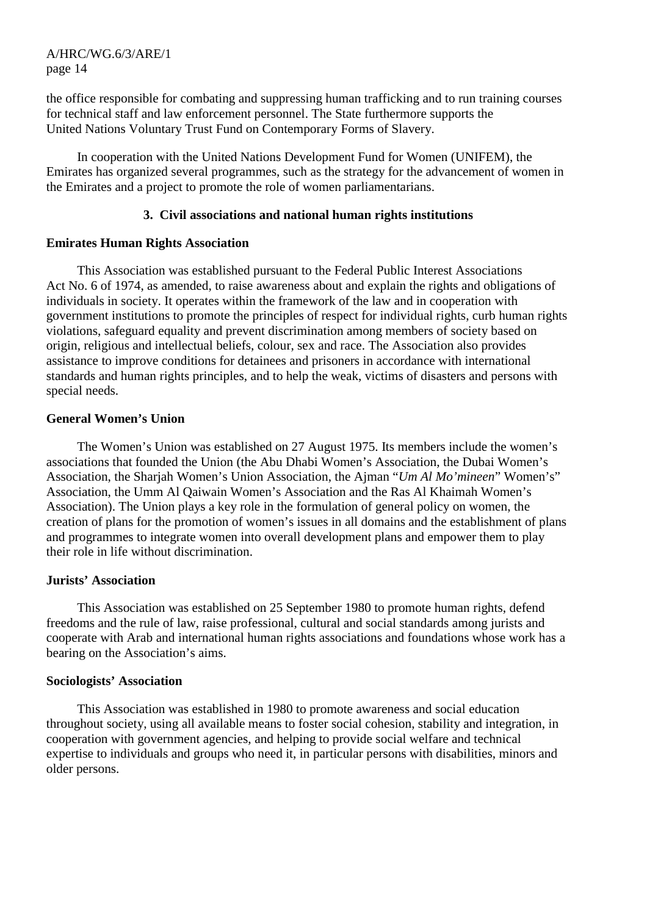the office responsible for combating and suppressing human trafficking and to run training courses for technical staff and law enforcement personnel. The State furthermore supports the United Nations Voluntary Trust Fund on Contemporary Forms of Slavery.

 In cooperation with the United Nations Development Fund for Women (UNIFEM), the Emirates has organized several programmes, such as the strategy for the advancement of women in the Emirates and a project to promote the role of women parliamentarians.

### **3. Civil associations and national human rights institutions**

#### **Emirates Human Rights Association**

 This Association was established pursuant to the Federal Public Interest Associations Act No. 6 of 1974, as amended, to raise awareness about and explain the rights and obligations of individuals in society. It operates within the framework of the law and in cooperation with government institutions to promote the principles of respect for individual rights, curb human rights violations, safeguard equality and prevent discrimination among members of society based on origin, religious and intellectual beliefs, colour, sex and race. The Association also provides assistance to improve conditions for detainees and prisoners in accordance with international standards and human rights principles, and to help the weak, victims of disasters and persons with special needs.

### **General Women's Union**

 The Women's Union was established on 27 August 1975. Its members include the women's associations that founded the Union (the Abu Dhabi Women's Association, the Dubai Women's Association, the Sharjah Women's Union Association, the Ajman "*Um Al Mo'mineen*" Women's" Association, the Umm Al Qaiwain Women's Association and the Ras Al Khaimah Women's Association). The Union plays a key role in the formulation of general policy on women, the creation of plans for the promotion of women's issues in all domains and the establishment of plans and programmes to integrate women into overall development plans and empower them to play their role in life without discrimination.

#### **Jurists' Association**

 This Association was established on 25 September 1980 to promote human rights, defend freedoms and the rule of law, raise professional, cultural and social standards among jurists and cooperate with Arab and international human rights associations and foundations whose work has a bearing on the Association's aims.

#### **Sociologists' Association**

 This Association was established in 1980 to promote awareness and social education throughout society, using all available means to foster social cohesion, stability and integration, in cooperation with government agencies, and helping to provide social welfare and technical expertise to individuals and groups who need it, in particular persons with disabilities, minors and older persons.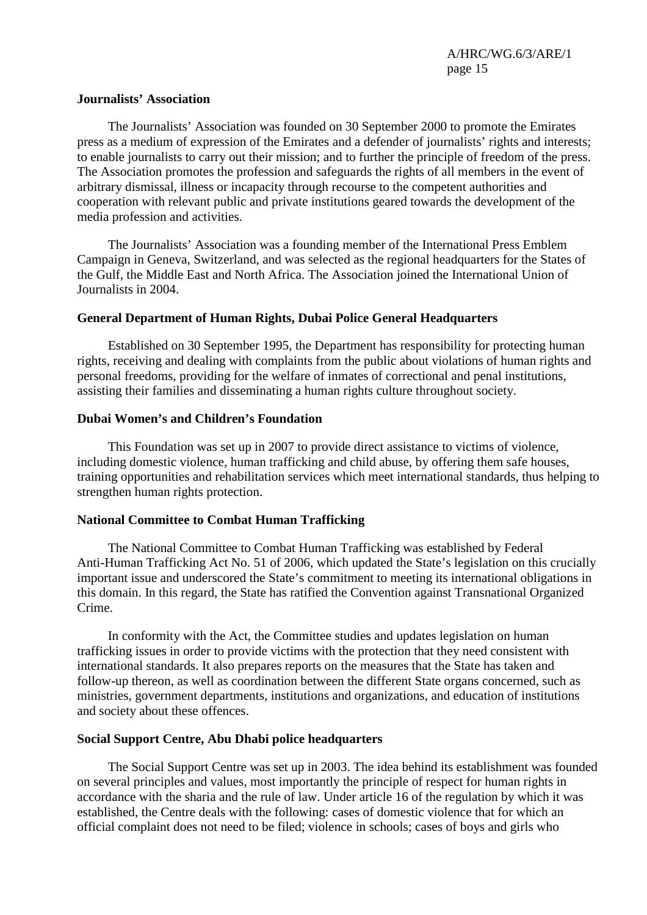#### **Journalists' Association**

 The Journalists' Association was founded on 30 September 2000 to promote the Emirates press as a medium of expression of the Emirates and a defender of journalists' rights and interests; to enable journalists to carry out their mission; and to further the principle of freedom of the press. The Association promotes the profession and safeguards the rights of all members in the event of arbitrary dismissal, illness or incapacity through recourse to the competent authorities and cooperation with relevant public and private institutions geared towards the development of the media profession and activities.

 The Journalists' Association was a founding member of the International Press Emblem Campaign in Geneva, Switzerland, and was selected as the regional headquarters for the States of the Gulf, the Middle East and North Africa. The Association joined the International Union of Journalists in 2004.

### **General Department of Human Rights, Dubai Police General Headquarters**

 Established on 30 September 1995, the Department has responsibility for protecting human rights, receiving and dealing with complaints from the public about violations of human rights and personal freedoms, providing for the welfare of inmates of correctional and penal institutions, assisting their families and disseminating a human rights culture throughout society.

### **Dubai Women's and Children's Foundation**

 This Foundation was set up in 2007 to provide direct assistance to victims of violence, including domestic violence, human trafficking and child abuse, by offering them safe houses, training opportunities and rehabilitation services which meet international standards, thus helping to strengthen human rights protection.

### **National Committee to Combat Human Trafficking**

 The National Committee to Combat Human Trafficking was established by Federal Anti-Human Trafficking Act No. 51 of 2006, which updated the State's legislation on this crucially important issue and underscored the State's commitment to meeting its international obligations in this domain. In this regard, the State has ratified the Convention against Transnational Organized Crime.

 In conformity with the Act, the Committee studies and updates legislation on human trafficking issues in order to provide victims with the protection that they need consistent with international standards. It also prepares reports on the measures that the State has taken and follow-up thereon, as well as coordination between the different State organs concerned, such as ministries, government departments, institutions and organizations, and education of institutions and society about these offences.

### **Social Support Centre, Abu Dhabi police headquarters**

 The Social Support Centre was set up in 2003. The idea behind its establishment was founded on several principles and values, most importantly the principle of respect for human rights in accordance with the sharia and the rule of law. Under article 16 of the regulation by which it was established, the Centre deals with the following: cases of domestic violence that for which an official complaint does not need to be filed; violence in schools; cases of boys and girls who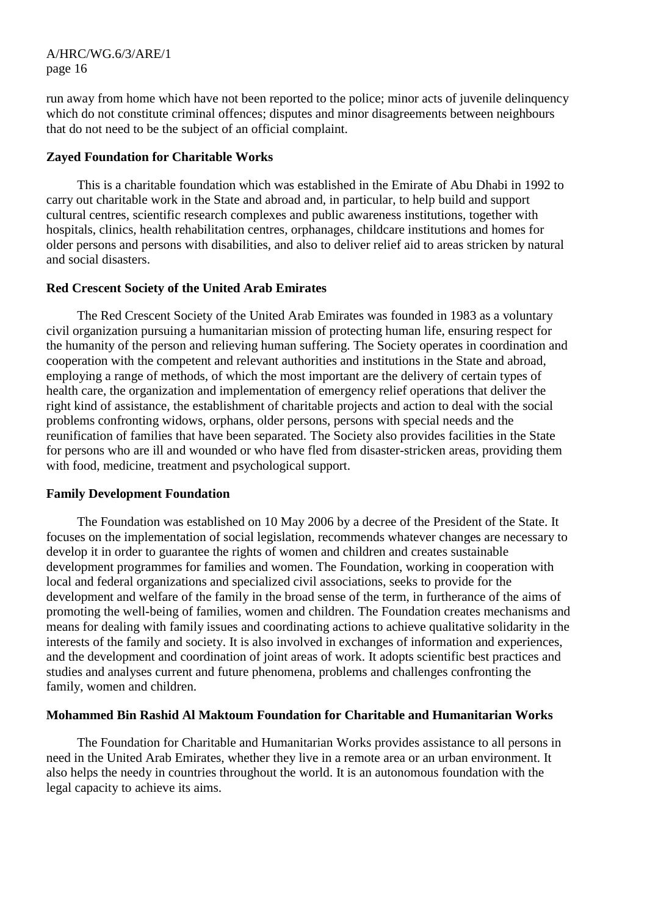run away from home which have not been reported to the police; minor acts of juvenile delinquency which do not constitute criminal offences; disputes and minor disagreements between neighbours that do not need to be the subject of an official complaint.

### **Zayed Foundation for Charitable Works**

 This is a charitable foundation which was established in the Emirate of Abu Dhabi in 1992 to carry out charitable work in the State and abroad and, in particular, to help build and support cultural centres, scientific research complexes and public awareness institutions, together with hospitals, clinics, health rehabilitation centres, orphanages, childcare institutions and homes for older persons and persons with disabilities, and also to deliver relief aid to areas stricken by natural and social disasters.

### **Red Crescent Society of the United Arab Emirates**

 The Red Crescent Society of the United Arab Emirates was founded in 1983 as a voluntary civil organization pursuing a humanitarian mission of protecting human life, ensuring respect for the humanity of the person and relieving human suffering. The Society operates in coordination and cooperation with the competent and relevant authorities and institutions in the State and abroad, employing a range of methods, of which the most important are the delivery of certain types of health care, the organization and implementation of emergency relief operations that deliver the right kind of assistance, the establishment of charitable projects and action to deal with the social problems confronting widows, orphans, older persons, persons with special needs and the reunification of families that have been separated. The Society also provides facilities in the State for persons who are ill and wounded or who have fled from disaster-stricken areas, providing them with food, medicine, treatment and psychological support.

# **Family Development Foundation**

 The Foundation was established on 10 May 2006 by a decree of the President of the State. It focuses on the implementation of social legislation, recommends whatever changes are necessary to develop it in order to guarantee the rights of women and children and creates sustainable development programmes for families and women. The Foundation, working in cooperation with local and federal organizations and specialized civil associations, seeks to provide for the development and welfare of the family in the broad sense of the term, in furtherance of the aims of promoting the well-being of families, women and children. The Foundation creates mechanisms and means for dealing with family issues and coordinating actions to achieve qualitative solidarity in the interests of the family and society. It is also involved in exchanges of information and experiences, and the development and coordination of joint areas of work. It adopts scientific best practices and studies and analyses current and future phenomena, problems and challenges confronting the family, women and children.

# **Mohammed Bin Rashid Al Maktoum Foundation for Charitable and Humanitarian Works**

 The Foundation for Charitable and Humanitarian Works provides assistance to all persons in need in the United Arab Emirates, whether they live in a remote area or an urban environment. It also helps the needy in countries throughout the world. It is an autonomous foundation with the legal capacity to achieve its aims.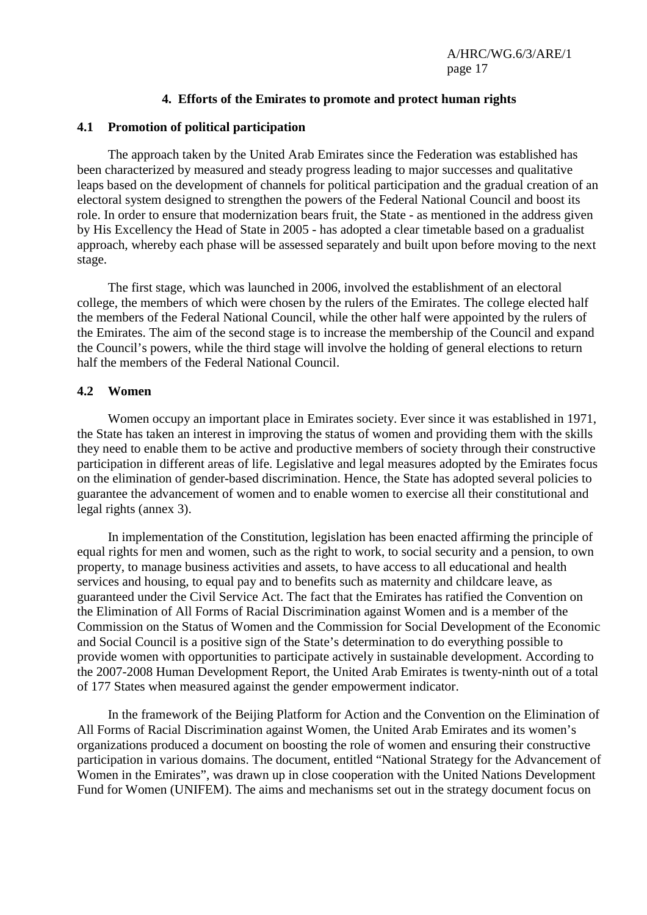### **4. Efforts of the Emirates to promote and protect human rights**

### **4.1 Promotion of political participation**

 The approach taken by the United Arab Emirates since the Federation was established has been characterized by measured and steady progress leading to major successes and qualitative leaps based on the development of channels for political participation and the gradual creation of an electoral system designed to strengthen the powers of the Federal National Council and boost its role. In order to ensure that modernization bears fruit, the State - as mentioned in the address given by His Excellency the Head of State in 2005 - has adopted a clear timetable based on a gradualist approach, whereby each phase will be assessed separately and built upon before moving to the next stage.

 The first stage, which was launched in 2006, involved the establishment of an electoral college, the members of which were chosen by the rulers of the Emirates. The college elected half the members of the Federal National Council, while the other half were appointed by the rulers of the Emirates. The aim of the second stage is to increase the membership of the Council and expand the Council's powers, while the third stage will involve the holding of general elections to return half the members of the Federal National Council.

### **4.2 Women**

 Women occupy an important place in Emirates society. Ever since it was established in 1971, the State has taken an interest in improving the status of women and providing them with the skills they need to enable them to be active and productive members of society through their constructive participation in different areas of life. Legislative and legal measures adopted by the Emirates focus on the elimination of gender-based discrimination. Hence, the State has adopted several policies to guarantee the advancement of women and to enable women to exercise all their constitutional and legal rights (annex 3).

 In implementation of the Constitution, legislation has been enacted affirming the principle of equal rights for men and women, such as the right to work, to social security and a pension, to own property, to manage business activities and assets, to have access to all educational and health services and housing, to equal pay and to benefits such as maternity and childcare leave, as guaranteed under the Civil Service Act. The fact that the Emirates has ratified the Convention on the Elimination of All Forms of Racial Discrimination against Women and is a member of the Commission on the Status of Women and the Commission for Social Development of the Economic and Social Council is a positive sign of the State's determination to do everything possible to provide women with opportunities to participate actively in sustainable development. According to the 2007-2008 Human Development Report, the United Arab Emirates is twenty-ninth out of a total of 177 States when measured against the gender empowerment indicator.

 In the framework of the Beijing Platform for Action and the Convention on the Elimination of All Forms of Racial Discrimination against Women, the United Arab Emirates and its women's organizations produced a document on boosting the role of women and ensuring their constructive participation in various domains. The document, entitled "National Strategy for the Advancement of Women in the Emirates", was drawn up in close cooperation with the United Nations Development Fund for Women (UNIFEM). The aims and mechanisms set out in the strategy document focus on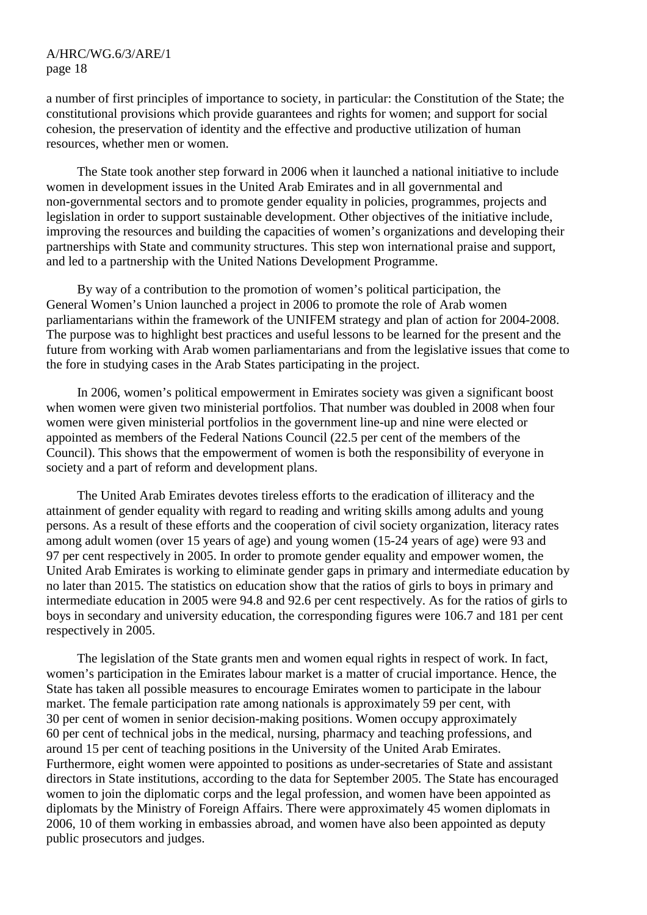a number of first principles of importance to society, in particular: the Constitution of the State; the constitutional provisions which provide guarantees and rights for women; and support for social cohesion, the preservation of identity and the effective and productive utilization of human resources, whether men or women.

 The State took another step forward in 2006 when it launched a national initiative to include women in development issues in the United Arab Emirates and in all governmental and non-governmental sectors and to promote gender equality in policies, programmes, projects and legislation in order to support sustainable development. Other objectives of the initiative include, improving the resources and building the capacities of women's organizations and developing their partnerships with State and community structures. This step won international praise and support, and led to a partnership with the United Nations Development Programme.

 By way of a contribution to the promotion of women's political participation, the General Women's Union launched a project in 2006 to promote the role of Arab women parliamentarians within the framework of the UNIFEM strategy and plan of action for 2004-2008. The purpose was to highlight best practices and useful lessons to be learned for the present and the future from working with Arab women parliamentarians and from the legislative issues that come to the fore in studying cases in the Arab States participating in the project.

 In 2006, women's political empowerment in Emirates society was given a significant boost when women were given two ministerial portfolios. That number was doubled in 2008 when four women were given ministerial portfolios in the government line-up and nine were elected or appointed as members of the Federal Nations Council (22.5 per cent of the members of the Council). This shows that the empowerment of women is both the responsibility of everyone in society and a part of reform and development plans.

 The United Arab Emirates devotes tireless efforts to the eradication of illiteracy and the attainment of gender equality with regard to reading and writing skills among adults and young persons. As a result of these efforts and the cooperation of civil society organization, literacy rates among adult women (over 15 years of age) and young women (15-24 years of age) were 93 and 97 per cent respectively in 2005. In order to promote gender equality and empower women, the United Arab Emirates is working to eliminate gender gaps in primary and intermediate education by no later than 2015. The statistics on education show that the ratios of girls to boys in primary and intermediate education in 2005 were 94.8 and 92.6 per cent respectively. As for the ratios of girls to boys in secondary and university education, the corresponding figures were 106.7 and 181 per cent respectively in 2005.

 The legislation of the State grants men and women equal rights in respect of work. In fact, women's participation in the Emirates labour market is a matter of crucial importance. Hence, the State has taken all possible measures to encourage Emirates women to participate in the labour market. The female participation rate among nationals is approximately 59 per cent, with 30 per cent of women in senior decision-making positions. Women occupy approximately 60 per cent of technical jobs in the medical, nursing, pharmacy and teaching professions, and around 15 per cent of teaching positions in the University of the United Arab Emirates. Furthermore, eight women were appointed to positions as under-secretaries of State and assistant directors in State institutions, according to the data for September 2005. The State has encouraged women to join the diplomatic corps and the legal profession, and women have been appointed as diplomats by the Ministry of Foreign Affairs. There were approximately 45 women diplomats in 2006, 10 of them working in embassies abroad, and women have also been appointed as deputy public prosecutors and judges.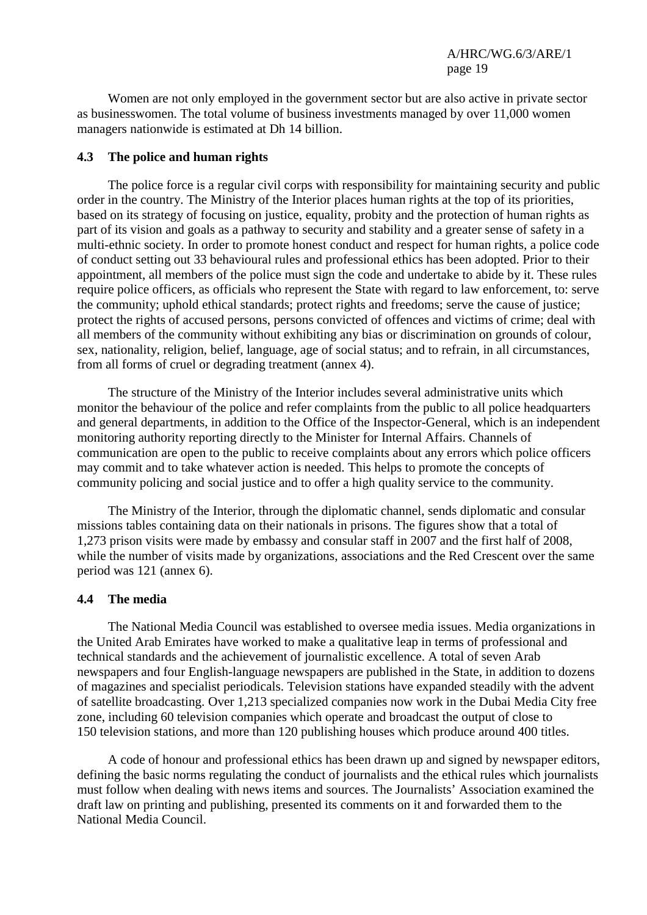Women are not only employed in the government sector but are also active in private sector as businesswomen. The total volume of business investments managed by over 11,000 women managers nationwide is estimated at Dh 14 billion.

#### **4.3 The police and human rights**

 The police force is a regular civil corps with responsibility for maintaining security and public order in the country. The Ministry of the Interior places human rights at the top of its priorities, based on its strategy of focusing on justice, equality, probity and the protection of human rights as part of its vision and goals as a pathway to security and stability and a greater sense of safety in a multi-ethnic society. In order to promote honest conduct and respect for human rights, a police code of conduct setting out 33 behavioural rules and professional ethics has been adopted. Prior to their appointment, all members of the police must sign the code and undertake to abide by it. These rules require police officers, as officials who represent the State with regard to law enforcement, to: serve the community; uphold ethical standards; protect rights and freedoms; serve the cause of justice; protect the rights of accused persons, persons convicted of offences and victims of crime; deal with all members of the community without exhibiting any bias or discrimination on grounds of colour, sex, nationality, religion, belief, language, age of social status; and to refrain, in all circumstances, from all forms of cruel or degrading treatment (annex 4).

 The structure of the Ministry of the Interior includes several administrative units which monitor the behaviour of the police and refer complaints from the public to all police headquarters and general departments, in addition to the Office of the Inspector-General, which is an independent monitoring authority reporting directly to the Minister for Internal Affairs. Channels of communication are open to the public to receive complaints about any errors which police officers may commit and to take whatever action is needed. This helps to promote the concepts of community policing and social justice and to offer a high quality service to the community.

 The Ministry of the Interior, through the diplomatic channel, sends diplomatic and consular missions tables containing data on their nationals in prisons. The figures show that a total of 1,273 prison visits were made by embassy and consular staff in 2007 and the first half of 2008, while the number of visits made by organizations, associations and the Red Crescent over the same period was 121 (annex 6).

#### **4.4 The media**

 The National Media Council was established to oversee media issues. Media organizations in the United Arab Emirates have worked to make a qualitative leap in terms of professional and technical standards and the achievement of journalistic excellence. A total of seven Arab newspapers and four English-language newspapers are published in the State, in addition to dozens of magazines and specialist periodicals. Television stations have expanded steadily with the advent of satellite broadcasting. Over 1,213 specialized companies now work in the Dubai Media City free zone, including 60 television companies which operate and broadcast the output of close to 150 television stations, and more than 120 publishing houses which produce around 400 titles.

 A code of honour and professional ethics has been drawn up and signed by newspaper editors, defining the basic norms regulating the conduct of journalists and the ethical rules which journalists must follow when dealing with news items and sources. The Journalists' Association examined the draft law on printing and publishing, presented its comments on it and forwarded them to the National Media Council.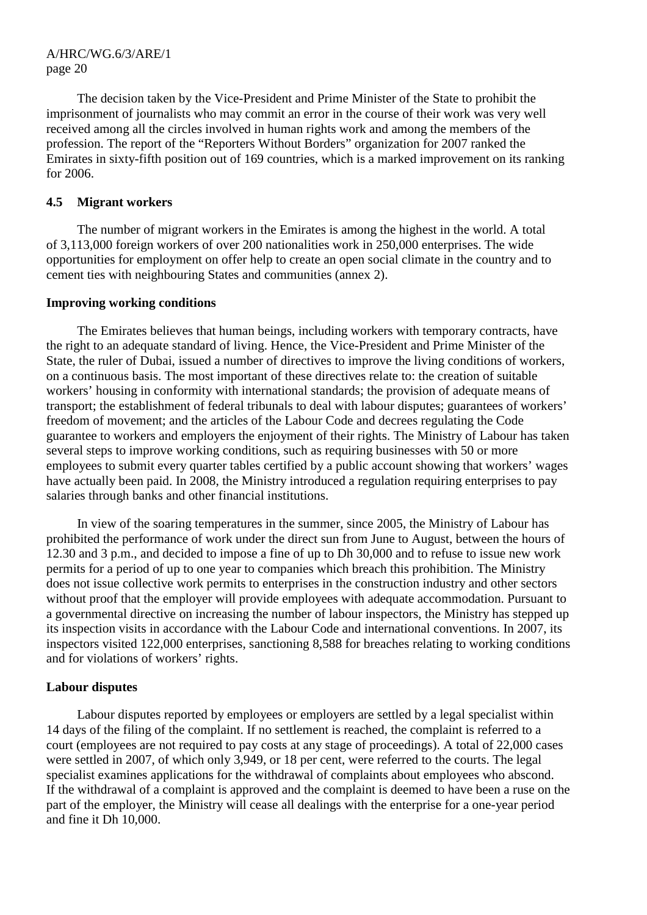The decision taken by the Vice-President and Prime Minister of the State to prohibit the imprisonment of journalists who may commit an error in the course of their work was very well received among all the circles involved in human rights work and among the members of the profession. The report of the "Reporters Without Borders" organization for 2007 ranked the Emirates in sixty-fifth position out of 169 countries, which is a marked improvement on its ranking for 2006.

### **4.5 Migrant workers**

 The number of migrant workers in the Emirates is among the highest in the world. A total of 3,113,000 foreign workers of over 200 nationalities work in 250,000 enterprises. The wide opportunities for employment on offer help to create an open social climate in the country and to cement ties with neighbouring States and communities (annex 2).

### **Improving working conditions**

 The Emirates believes that human beings, including workers with temporary contracts, have the right to an adequate standard of living. Hence, the Vice-President and Prime Minister of the State, the ruler of Dubai, issued a number of directives to improve the living conditions of workers, on a continuous basis. The most important of these directives relate to: the creation of suitable workers' housing in conformity with international standards; the provision of adequate means of transport; the establishment of federal tribunals to deal with labour disputes; guarantees of workers' freedom of movement; and the articles of the Labour Code and decrees regulating the Code guarantee to workers and employers the enjoyment of their rights. The Ministry of Labour has taken several steps to improve working conditions, such as requiring businesses with 50 or more employees to submit every quarter tables certified by a public account showing that workers' wages have actually been paid. In 2008, the Ministry introduced a regulation requiring enterprises to pay salaries through banks and other financial institutions.

 In view of the soaring temperatures in the summer, since 2005, the Ministry of Labour has prohibited the performance of work under the direct sun from June to August, between the hours of 12.30 and 3 p.m., and decided to impose a fine of up to Dh 30,000 and to refuse to issue new work permits for a period of up to one year to companies which breach this prohibition. The Ministry does not issue collective work permits to enterprises in the construction industry and other sectors without proof that the employer will provide employees with adequate accommodation. Pursuant to a governmental directive on increasing the number of labour inspectors, the Ministry has stepped up its inspection visits in accordance with the Labour Code and international conventions. In 2007, its inspectors visited 122,000 enterprises, sanctioning 8,588 for breaches relating to working conditions and for violations of workers' rights.

# **Labour disputes**

 Labour disputes reported by employees or employers are settled by a legal specialist within 14 days of the filing of the complaint. If no settlement is reached, the complaint is referred to a court (employees are not required to pay costs at any stage of proceedings). A total of 22,000 cases were settled in 2007, of which only 3,949, or 18 per cent, were referred to the courts. The legal specialist examines applications for the withdrawal of complaints about employees who abscond. If the withdrawal of a complaint is approved and the complaint is deemed to have been a ruse on the part of the employer, the Ministry will cease all dealings with the enterprise for a one-year period and fine it Dh 10,000.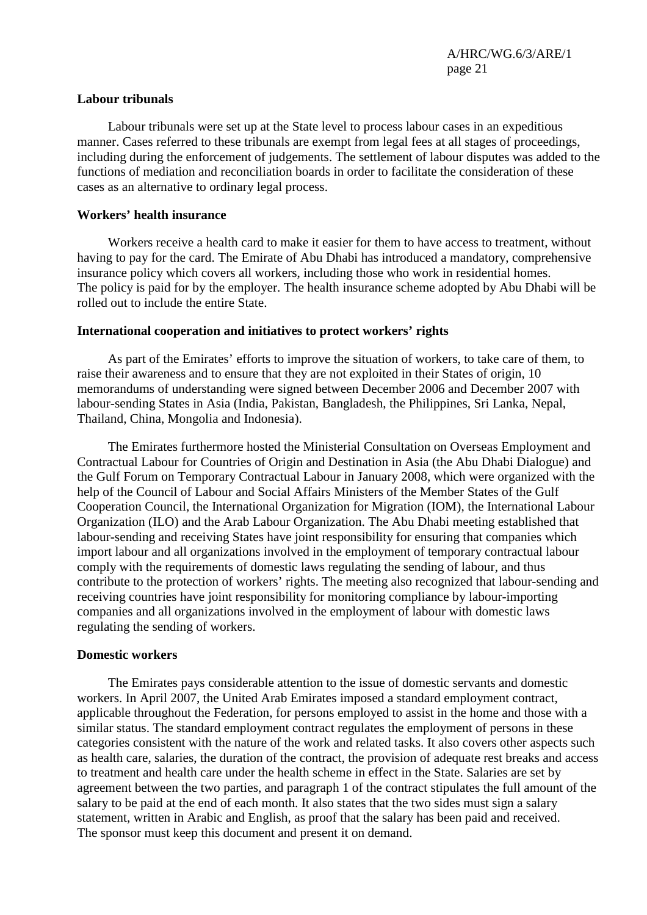### **Labour tribunals**

 Labour tribunals were set up at the State level to process labour cases in an expeditious manner. Cases referred to these tribunals are exempt from legal fees at all stages of proceedings, including during the enforcement of judgements. The settlement of labour disputes was added to the functions of mediation and reconciliation boards in order to facilitate the consideration of these cases as an alternative to ordinary legal process.

#### **Workers' health insurance**

 Workers receive a health card to make it easier for them to have access to treatment, without having to pay for the card. The Emirate of Abu Dhabi has introduced a mandatory, comprehensive insurance policy which covers all workers, including those who work in residential homes. The policy is paid for by the employer. The health insurance scheme adopted by Abu Dhabi will be rolled out to include the entire State.

### **International cooperation and initiatives to protect workers' rights**

 As part of the Emirates' efforts to improve the situation of workers, to take care of them, to raise their awareness and to ensure that they are not exploited in their States of origin, 10 memorandums of understanding were signed between December 2006 and December 2007 with labour-sending States in Asia (India, Pakistan, Bangladesh, the Philippines, Sri Lanka, Nepal, Thailand, China, Mongolia and Indonesia).

 The Emirates furthermore hosted the Ministerial Consultation on Overseas Employment and Contractual Labour for Countries of Origin and Destination in Asia (the Abu Dhabi Dialogue) and the Gulf Forum on Temporary Contractual Labour in January 2008, which were organized with the help of the Council of Labour and Social Affairs Ministers of the Member States of the Gulf Cooperation Council, the International Organization for Migration (IOM), the International Labour Organization (ILO) and the Arab Labour Organization. The Abu Dhabi meeting established that labour-sending and receiving States have joint responsibility for ensuring that companies which import labour and all organizations involved in the employment of temporary contractual labour comply with the requirements of domestic laws regulating the sending of labour, and thus contribute to the protection of workers' rights. The meeting also recognized that labour-sending and receiving countries have joint responsibility for monitoring compliance by labour-importing companies and all organizations involved in the employment of labour with domestic laws regulating the sending of workers.

#### **Domestic workers**

 The Emirates pays considerable attention to the issue of domestic servants and domestic workers. In April 2007, the United Arab Emirates imposed a standard employment contract, applicable throughout the Federation, for persons employed to assist in the home and those with a similar status. The standard employment contract regulates the employment of persons in these categories consistent with the nature of the work and related tasks. It also covers other aspects such as health care, salaries, the duration of the contract, the provision of adequate rest breaks and access to treatment and health care under the health scheme in effect in the State. Salaries are set by agreement between the two parties, and paragraph 1 of the contract stipulates the full amount of the salary to be paid at the end of each month. It also states that the two sides must sign a salary statement, written in Arabic and English, as proof that the salary has been paid and received. The sponsor must keep this document and present it on demand.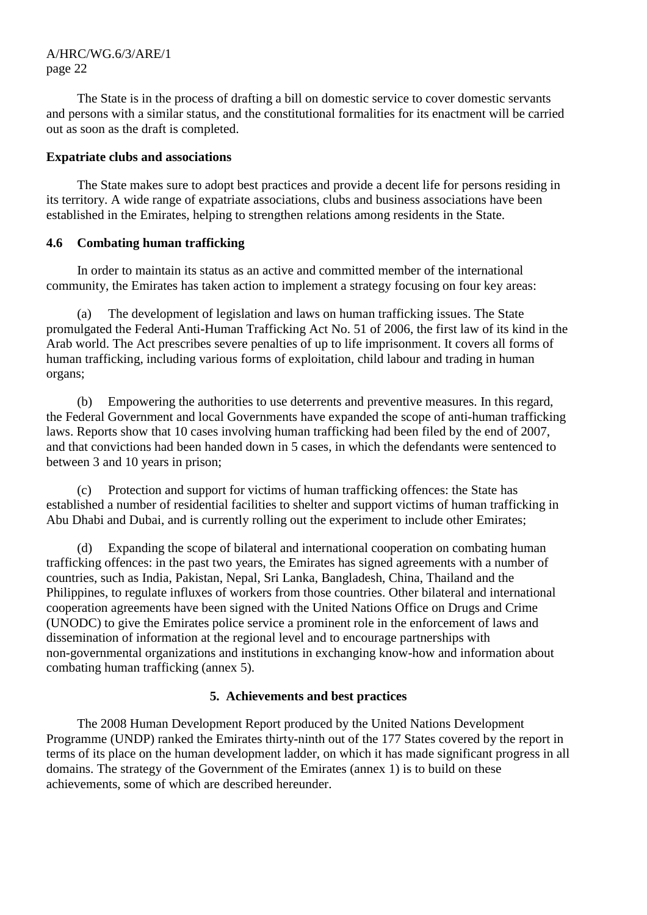The State is in the process of drafting a bill on domestic service to cover domestic servants and persons with a similar status, and the constitutional formalities for its enactment will be carried out as soon as the draft is completed.

### **Expatriate clubs and associations**

 The State makes sure to adopt best practices and provide a decent life for persons residing in its territory. A wide range of expatriate associations, clubs and business associations have been established in the Emirates, helping to strengthen relations among residents in the State.

# **4.6 Combating human trafficking**

 In order to maintain its status as an active and committed member of the international community, the Emirates has taken action to implement a strategy focusing on four key areas:

The development of legislation and laws on human trafficking issues. The State promulgated the Federal Anti-Human Trafficking Act No. 51 of 2006, the first law of its kind in the Arab world. The Act prescribes severe penalties of up to life imprisonment. It covers all forms of human trafficking, including various forms of exploitation, child labour and trading in human organs;

 (b) Empowering the authorities to use deterrents and preventive measures. In this regard, the Federal Government and local Governments have expanded the scope of anti-human trafficking laws. Reports show that 10 cases involving human trafficking had been filed by the end of 2007, and that convictions had been handed down in 5 cases, in which the defendants were sentenced to between 3 and 10 years in prison;

 (c) Protection and support for victims of human trafficking offences: the State has established a number of residential facilities to shelter and support victims of human trafficking in Abu Dhabi and Dubai, and is currently rolling out the experiment to include other Emirates;

 (d) Expanding the scope of bilateral and international cooperation on combating human trafficking offences: in the past two years, the Emirates has signed agreements with a number of countries, such as India, Pakistan, Nepal, Sri Lanka, Bangladesh, China, Thailand and the Philippines, to regulate influxes of workers from those countries. Other bilateral and international cooperation agreements have been signed with the United Nations Office on Drugs and Crime (UNODC) to give the Emirates police service a prominent role in the enforcement of laws and dissemination of information at the regional level and to encourage partnerships with non-governmental organizations and institutions in exchanging know-how and information about combating human trafficking (annex 5).

# **5. Achievements and best practices**

 The 2008 Human Development Report produced by the United Nations Development Programme (UNDP) ranked the Emirates thirty-ninth out of the 177 States covered by the report in terms of its place on the human development ladder, on which it has made significant progress in all domains. The strategy of the Government of the Emirates (annex 1) is to build on these achievements, some of which are described hereunder.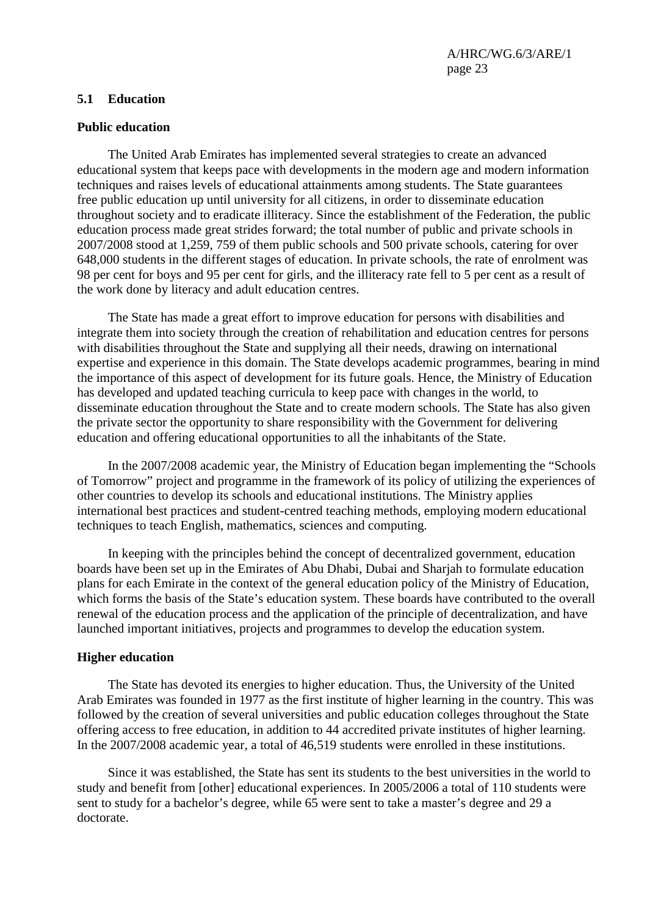### **5.1 Education**

#### **Public education**

 The United Arab Emirates has implemented several strategies to create an advanced educational system that keeps pace with developments in the modern age and modern information techniques and raises levels of educational attainments among students. The State guarantees free public education up until university for all citizens, in order to disseminate education throughout society and to eradicate illiteracy. Since the establishment of the Federation, the public education process made great strides forward; the total number of public and private schools in 2007/2008 stood at 1,259, 759 of them public schools and 500 private schools, catering for over 648,000 students in the different stages of education. In private schools, the rate of enrolment was 98 per cent for boys and 95 per cent for girls, and the illiteracy rate fell to 5 per cent as a result of the work done by literacy and adult education centres.

 The State has made a great effort to improve education for persons with disabilities and integrate them into society through the creation of rehabilitation and education centres for persons with disabilities throughout the State and supplying all their needs, drawing on international expertise and experience in this domain. The State develops academic programmes, bearing in mind the importance of this aspect of development for its future goals. Hence, the Ministry of Education has developed and updated teaching curricula to keep pace with changes in the world, to disseminate education throughout the State and to create modern schools. The State has also given the private sector the opportunity to share responsibility with the Government for delivering education and offering educational opportunities to all the inhabitants of the State.

 In the 2007/2008 academic year, the Ministry of Education began implementing the "Schools of Tomorrow" project and programme in the framework of its policy of utilizing the experiences of other countries to develop its schools and educational institutions. The Ministry applies international best practices and student-centred teaching methods, employing modern educational techniques to teach English, mathematics, sciences and computing.

 In keeping with the principles behind the concept of decentralized government, education boards have been set up in the Emirates of Abu Dhabi, Dubai and Sharjah to formulate education plans for each Emirate in the context of the general education policy of the Ministry of Education, which forms the basis of the State's education system. These boards have contributed to the overall renewal of the education process and the application of the principle of decentralization, and have launched important initiatives, projects and programmes to develop the education system.

### **Higher education**

 The State has devoted its energies to higher education. Thus, the University of the United Arab Emirates was founded in 1977 as the first institute of higher learning in the country. This was followed by the creation of several universities and public education colleges throughout the State offering access to free education, in addition to 44 accredited private institutes of higher learning. In the 2007/2008 academic year, a total of 46,519 students were enrolled in these institutions.

 Since it was established, the State has sent its students to the best universities in the world to study and benefit from [other] educational experiences. In 2005/2006 a total of 110 students were sent to study for a bachelor's degree, while 65 were sent to take a master's degree and 29 a doctorate.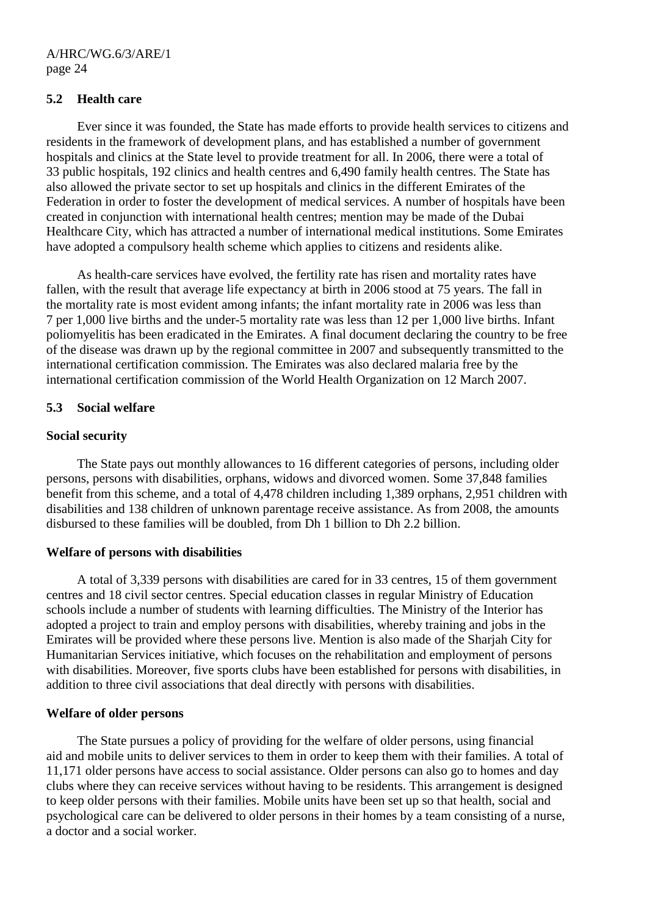#### **5.2 Health care**

 Ever since it was founded, the State has made efforts to provide health services to citizens and residents in the framework of development plans, and has established a number of government hospitals and clinics at the State level to provide treatment for all. In 2006, there were a total of 33 public hospitals, 192 clinics and health centres and 6,490 family health centres. The State has also allowed the private sector to set up hospitals and clinics in the different Emirates of the Federation in order to foster the development of medical services. A number of hospitals have been created in conjunction with international health centres; mention may be made of the Dubai Healthcare City, which has attracted a number of international medical institutions. Some Emirates have adopted a compulsory health scheme which applies to citizens and residents alike.

 As health-care services have evolved, the fertility rate has risen and mortality rates have fallen, with the result that average life expectancy at birth in 2006 stood at 75 years. The fall in the mortality rate is most evident among infants; the infant mortality rate in 2006 was less than 7 per 1,000 live births and the under-5 mortality rate was less than 12 per 1,000 live births. Infant poliomyelitis has been eradicated in the Emirates. A final document declaring the country to be free of the disease was drawn up by the regional committee in 2007 and subsequently transmitted to the international certification commission. The Emirates was also declared malaria free by the international certification commission of the World Health Organization on 12 March 2007.

#### **5.3 Social welfare**

#### **Social security**

 The State pays out monthly allowances to 16 different categories of persons, including older persons, persons with disabilities, orphans, widows and divorced women. Some 37,848 families benefit from this scheme, and a total of 4,478 children including 1,389 orphans, 2,951 children with disabilities and 138 children of unknown parentage receive assistance. As from 2008, the amounts disbursed to these families will be doubled, from Dh 1 billion to Dh 2.2 billion.

#### **Welfare of persons with disabilities**

 A total of 3,339 persons with disabilities are cared for in 33 centres, 15 of them government centres and 18 civil sector centres. Special education classes in regular Ministry of Education schools include a number of students with learning difficulties. The Ministry of the Interior has adopted a project to train and employ persons with disabilities, whereby training and jobs in the Emirates will be provided where these persons live. Mention is also made of the Sharjah City for Humanitarian Services initiative, which focuses on the rehabilitation and employment of persons with disabilities. Moreover, five sports clubs have been established for persons with disabilities, in addition to three civil associations that deal directly with persons with disabilities.

#### **Welfare of older persons**

 The State pursues a policy of providing for the welfare of older persons, using financial aid and mobile units to deliver services to them in order to keep them with their families. A total of 11,171 older persons have access to social assistance. Older persons can also go to homes and day clubs where they can receive services without having to be residents. This arrangement is designed to keep older persons with their families. Mobile units have been set up so that health, social and psychological care can be delivered to older persons in their homes by a team consisting of a nurse, a doctor and a social worker.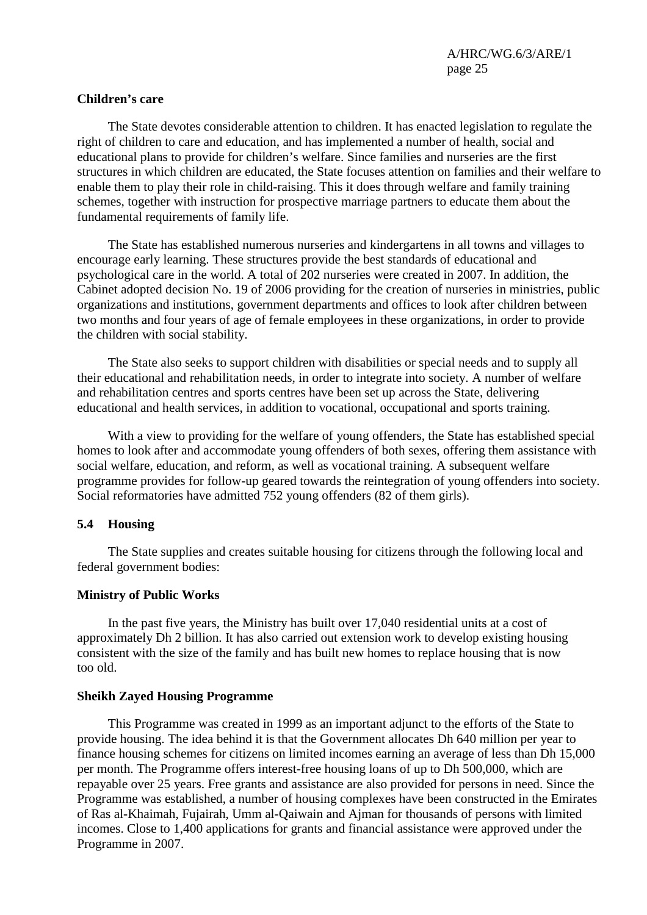### **Children's care**

 The State devotes considerable attention to children. It has enacted legislation to regulate the right of children to care and education, and has implemented a number of health, social and educational plans to provide for children's welfare. Since families and nurseries are the first structures in which children are educated, the State focuses attention on families and their welfare to enable them to play their role in child-raising. This it does through welfare and family training schemes, together with instruction for prospective marriage partners to educate them about the fundamental requirements of family life.

 The State has established numerous nurseries and kindergartens in all towns and villages to encourage early learning. These structures provide the best standards of educational and psychological care in the world. A total of 202 nurseries were created in 2007. In addition, the Cabinet adopted decision No. 19 of 2006 providing for the creation of nurseries in ministries, public organizations and institutions, government departments and offices to look after children between two months and four years of age of female employees in these organizations, in order to provide the children with social stability.

 The State also seeks to support children with disabilities or special needs and to supply all their educational and rehabilitation needs, in order to integrate into society. A number of welfare and rehabilitation centres and sports centres have been set up across the State, delivering educational and health services, in addition to vocational, occupational and sports training.

 With a view to providing for the welfare of young offenders, the State has established special homes to look after and accommodate young offenders of both sexes, offering them assistance with social welfare, education, and reform, as well as vocational training. A subsequent welfare programme provides for follow-up geared towards the reintegration of young offenders into society. Social reformatories have admitted 752 young offenders (82 of them girls).

### **5.4 Housing**

 The State supplies and creates suitable housing for citizens through the following local and federal government bodies:

#### **Ministry of Public Works**

 In the past five years, the Ministry has built over 17,040 residential units at a cost of approximately Dh 2 billion. It has also carried out extension work to develop existing housing consistent with the size of the family and has built new homes to replace housing that is now too old.

#### **Sheikh Zayed Housing Programme**

 This Programme was created in 1999 as an important adjunct to the efforts of the State to provide housing. The idea behind it is that the Government allocates Dh 640 million per year to finance housing schemes for citizens on limited incomes earning an average of less than Dh 15,000 per month. The Programme offers interest-free housing loans of up to Dh 500,000, which are repayable over 25 years. Free grants and assistance are also provided for persons in need. Since the Programme was established, a number of housing complexes have been constructed in the Emirates of Ras al-Khaimah, Fujairah, Umm al-Qaiwain and Ajman for thousands of persons with limited incomes. Close to 1,400 applications for grants and financial assistance were approved under the Programme in 2007.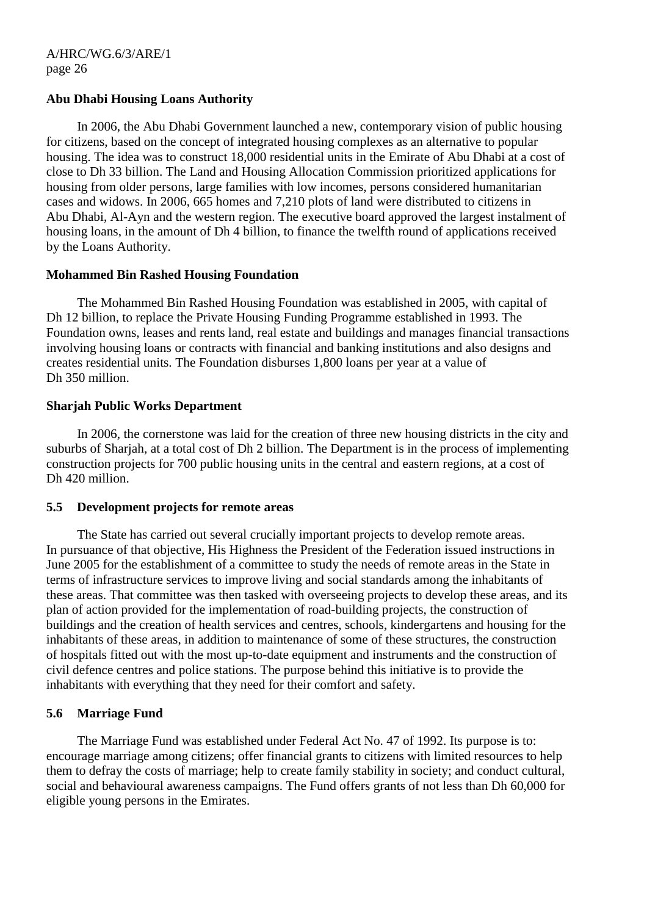### **Abu Dhabi Housing Loans Authority**

 In 2006, the Abu Dhabi Government launched a new, contemporary vision of public housing for citizens, based on the concept of integrated housing complexes as an alternative to popular housing. The idea was to construct 18,000 residential units in the Emirate of Abu Dhabi at a cost of close to Dh 33 billion. The Land and Housing Allocation Commission prioritized applications for housing from older persons, large families with low incomes, persons considered humanitarian cases and widows. In 2006, 665 homes and 7,210 plots of land were distributed to citizens in Abu Dhabi, Al-Ayn and the western region. The executive board approved the largest instalment of housing loans, in the amount of Dh 4 billion, to finance the twelfth round of applications received by the Loans Authority.

### **Mohammed Bin Rashed Housing Foundation**

 The Mohammed Bin Rashed Housing Foundation was established in 2005, with capital of Dh 12 billion, to replace the Private Housing Funding Programme established in 1993. The Foundation owns, leases and rents land, real estate and buildings and manages financial transactions involving housing loans or contracts with financial and banking institutions and also designs and creates residential units. The Foundation disburses 1,800 loans per year at a value of Dh 350 million.

### **Sharjah Public Works Department**

 In 2006, the cornerstone was laid for the creation of three new housing districts in the city and suburbs of Sharjah, at a total cost of Dh 2 billion. The Department is in the process of implementing construction projects for 700 public housing units in the central and eastern regions, at a cost of Dh 420 million.

### **5.5 Development projects for remote areas**

 The State has carried out several crucially important projects to develop remote areas. In pursuance of that objective, His Highness the President of the Federation issued instructions in June 2005 for the establishment of a committee to study the needs of remote areas in the State in terms of infrastructure services to improve living and social standards among the inhabitants of these areas. That committee was then tasked with overseeing projects to develop these areas, and its plan of action provided for the implementation of road-building projects, the construction of buildings and the creation of health services and centres, schools, kindergartens and housing for the inhabitants of these areas, in addition to maintenance of some of these structures, the construction of hospitals fitted out with the most up-to-date equipment and instruments and the construction of civil defence centres and police stations. The purpose behind this initiative is to provide the inhabitants with everything that they need for their comfort and safety.

# **5.6 Marriage Fund**

 The Marriage Fund was established under Federal Act No. 47 of 1992. Its purpose is to: encourage marriage among citizens; offer financial grants to citizens with limited resources to help them to defray the costs of marriage; help to create family stability in society; and conduct cultural, social and behavioural awareness campaigns. The Fund offers grants of not less than Dh 60,000 for eligible young persons in the Emirates.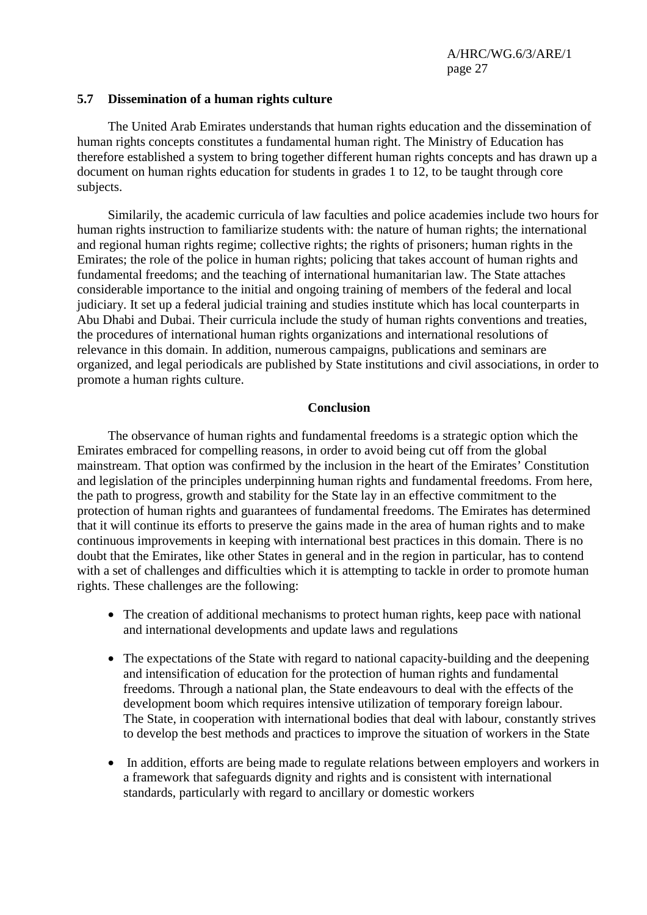#### **5.7 Dissemination of a human rights culture**

 The United Arab Emirates understands that human rights education and the dissemination of human rights concepts constitutes a fundamental human right. The Ministry of Education has therefore established a system to bring together different human rights concepts and has drawn up a document on human rights education for students in grades 1 to 12, to be taught through core subjects.

 Similarily, the academic curricula of law faculties and police academies include two hours for human rights instruction to familiarize students with: the nature of human rights; the international and regional human rights regime; collective rights; the rights of prisoners; human rights in the Emirates; the role of the police in human rights; policing that takes account of human rights and fundamental freedoms; and the teaching of international humanitarian law. The State attaches considerable importance to the initial and ongoing training of members of the federal and local judiciary. It set up a federal judicial training and studies institute which has local counterparts in Abu Dhabi and Dubai. Their curricula include the study of human rights conventions and treaties, the procedures of international human rights organizations and international resolutions of relevance in this domain. In addition, numerous campaigns, publications and seminars are organized, and legal periodicals are published by State institutions and civil associations, in order to promote a human rights culture.

#### **Conclusion**

 The observance of human rights and fundamental freedoms is a strategic option which the Emirates embraced for compelling reasons, in order to avoid being cut off from the global mainstream. That option was confirmed by the inclusion in the heart of the Emirates' Constitution and legislation of the principles underpinning human rights and fundamental freedoms. From here, the path to progress, growth and stability for the State lay in an effective commitment to the protection of human rights and guarantees of fundamental freedoms. The Emirates has determined that it will continue its efforts to preserve the gains made in the area of human rights and to make continuous improvements in keeping with international best practices in this domain. There is no doubt that the Emirates, like other States in general and in the region in particular, has to contend with a set of challenges and difficulties which it is attempting to tackle in order to promote human rights. These challenges are the following:

- The creation of additional mechanisms to protect human rights, keep pace with national and international developments and update laws and regulations
- The expectations of the State with regard to national capacity-building and the deepening and intensification of education for the protection of human rights and fundamental freedoms. Through a national plan, the State endeavours to deal with the effects of the development boom which requires intensive utilization of temporary foreign labour. The State, in cooperation with international bodies that deal with labour, constantly strives to develop the best methods and practices to improve the situation of workers in the State
- In addition, efforts are being made to regulate relations between employers and workers in a framework that safeguards dignity and rights and is consistent with international standards, particularly with regard to ancillary or domestic workers